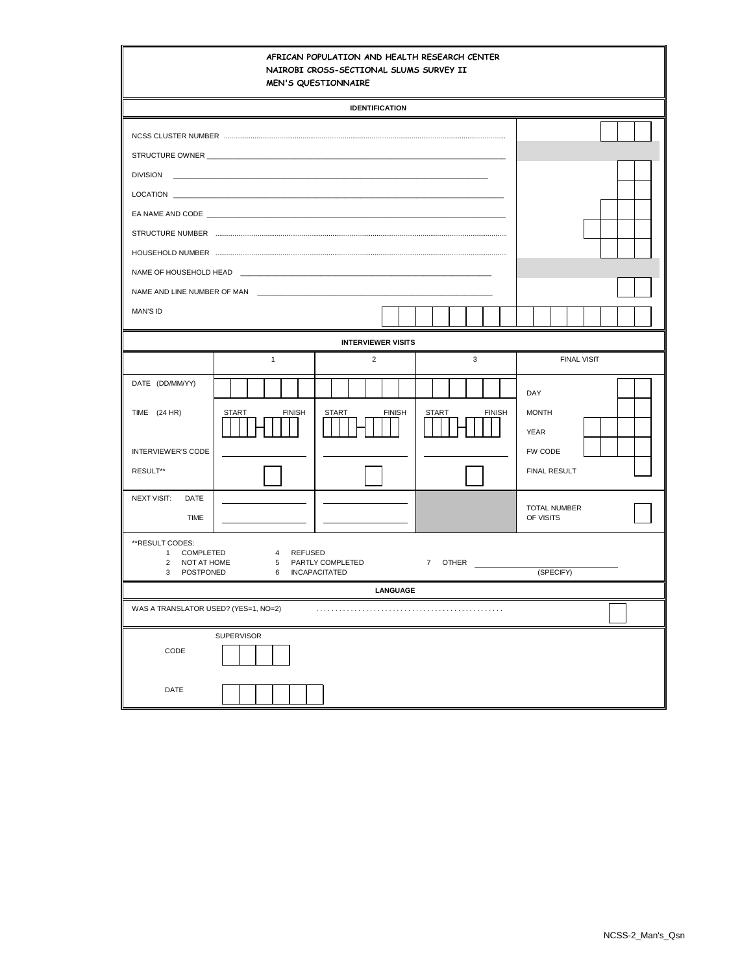|                                                                                                                                                                                                                                                                                                                                                                                                                                                                                           |               | <b>IDENTIFICATION</b>                                                                                                |                               |                                                                      |
|-------------------------------------------------------------------------------------------------------------------------------------------------------------------------------------------------------------------------------------------------------------------------------------------------------------------------------------------------------------------------------------------------------------------------------------------------------------------------------------------|---------------|----------------------------------------------------------------------------------------------------------------------|-------------------------------|----------------------------------------------------------------------|
|                                                                                                                                                                                                                                                                                                                                                                                                                                                                                           |               |                                                                                                                      |                               |                                                                      |
| NCSS CLUSTER NUMBER MEDICAL CONTENTS AND RESIDENCE AND A SERIES AND RESIDENCE AND A SERIES OF DESCRIPTIONS OF THE SERIES OF DESCRIPTION OF THE SERIES OF DESCRIPTION OF THE SERIES OF THE SERIES OF THE SERIES OF THE SERIES O<br><b>DIVISION</b><br>LOCATION <b>EXECUTIVE SERVICE SERVICE SERVICE SERVICE SERVICE SERVICE SERVICE SERVICE SERVICE SERVICE SERVICE SERVICE SERVICE SERVICE SERVICE SERVICE SERVICE SERVICE SERVICE SERVICE SERVICE SERVICE SERVICE SERVICE SERVICE SE</b> |               | <u> 2000 - 2000 - 2000 - 2000 - 2000 - 2000 - 2000 - 2000 - 2000 - 2000 - 2000 - 2000 - 2000 - 2000 - 2000 - 200</u> |                               |                                                                      |
|                                                                                                                                                                                                                                                                                                                                                                                                                                                                                           |               |                                                                                                                      |                               |                                                                      |
|                                                                                                                                                                                                                                                                                                                                                                                                                                                                                           |               |                                                                                                                      |                               |                                                                      |
| MAN'S ID                                                                                                                                                                                                                                                                                                                                                                                                                                                                                  |               |                                                                                                                      |                               |                                                                      |
|                                                                                                                                                                                                                                                                                                                                                                                                                                                                                           |               | <b>INTERVIEWER VISITS</b>                                                                                            |                               |                                                                      |
|                                                                                                                                                                                                                                                                                                                                                                                                                                                                                           | $\mathbf{1}$  | $\overline{2}$                                                                                                       | 3                             | <b>FINAL VISIT</b>                                                   |
| DATE (DD/MM/YY)<br>TIME (24 HR)<br><b>START</b><br><b>INTERVIEWER'S CODE</b><br>RESULT**                                                                                                                                                                                                                                                                                                                                                                                                  | <b>FINISH</b> | <b>START</b><br><b>FINISH</b>                                                                                        | <b>START</b><br><b>FINISH</b> | DAY<br><b>MONTH</b><br><b>YEAR</b><br>FW CODE<br><b>FINAL RESULT</b> |
| <b>NEXT VISIT:</b><br>DATE<br>TIME                                                                                                                                                                                                                                                                                                                                                                                                                                                        |               |                                                                                                                      |                               | <b>TOTAL NUMBER</b><br>OF VISITS                                     |
| **RESULT CODES:<br>COMPLETED<br>4 REFUSED<br>$\mathbf{1}$<br>7 OTHER<br>2<br>NOT AT HOME<br>5 PARTLY COMPLETED<br>(SPECIFY)<br>3 POSTPONED<br>6 INCAPACITATED<br><b>LANGUAGE</b>                                                                                                                                                                                                                                                                                                          |               |                                                                                                                      |                               |                                                                      |
| WAS A TRANSLATOR USED? (YES=1, NO=2)                                                                                                                                                                                                                                                                                                                                                                                                                                                      |               |                                                                                                                      |                               |                                                                      |
| SUPERVISOR<br>CODE<br>DATE                                                                                                                                                                                                                                                                                                                                                                                                                                                                |               |                                                                                                                      |                               |                                                                      |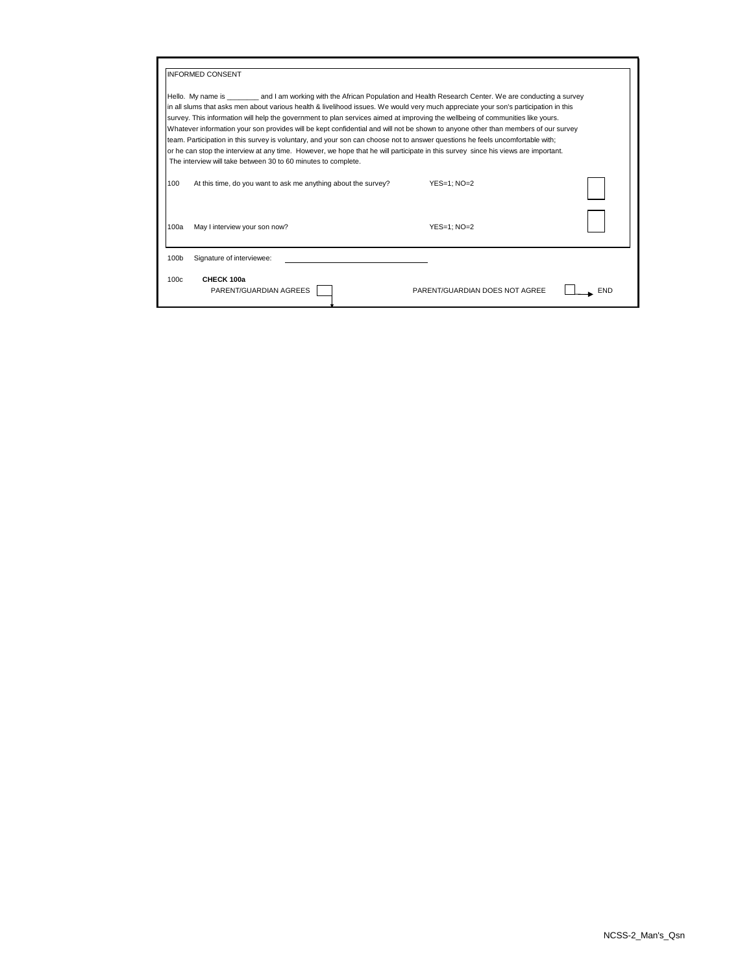|                                                                                                                                                                                                                                                                                                                                                                                                                                                                                                                                                                                                                                                                                                                                                                                                                                                                                     | <b>INFORMED CONSENT</b>                                        |                                |  |  |  |
|-------------------------------------------------------------------------------------------------------------------------------------------------------------------------------------------------------------------------------------------------------------------------------------------------------------------------------------------------------------------------------------------------------------------------------------------------------------------------------------------------------------------------------------------------------------------------------------------------------------------------------------------------------------------------------------------------------------------------------------------------------------------------------------------------------------------------------------------------------------------------------------|----------------------------------------------------------------|--------------------------------|--|--|--|
| Hello. My name is ________ and I am working with the African Population and Health Research Center. We are conducting a survey<br>in all slums that asks men about various health & livelihood issues. We would very much appreciate your son's participation in this<br>survey. This information will help the government to plan services aimed at improving the wellbeing of communities like yours.<br>Whatever information your son provides will be kept confidential and will not be shown to anyone other than members of our survey<br>team. Participation in this survey is voluntary, and your son can choose not to answer questions he feels uncomfortable with;<br>or he can stop the interview at any time. However, we hope that he will participate in this survey since his views are important.<br>The interview will take between 30 to 60 minutes to complete. |                                                                |                                |  |  |  |
| 100                                                                                                                                                                                                                                                                                                                                                                                                                                                                                                                                                                                                                                                                                                                                                                                                                                                                                 | At this time, do you want to ask me anything about the survey? | YES=1: NO=2                    |  |  |  |
| 100a                                                                                                                                                                                                                                                                                                                                                                                                                                                                                                                                                                                                                                                                                                                                                                                                                                                                                | May I interview your son now?                                  | $YES=1$ : $NO=2$               |  |  |  |
| 100b                                                                                                                                                                                                                                                                                                                                                                                                                                                                                                                                                                                                                                                                                                                                                                                                                                                                                | Signature of interviewee:                                      |                                |  |  |  |
| 100c                                                                                                                                                                                                                                                                                                                                                                                                                                                                                                                                                                                                                                                                                                                                                                                                                                                                                | CHECK 100a<br>PARENT/GUARDIAN AGREES                           | PARENT/GUARDIAN DOES NOT AGREE |  |  |  |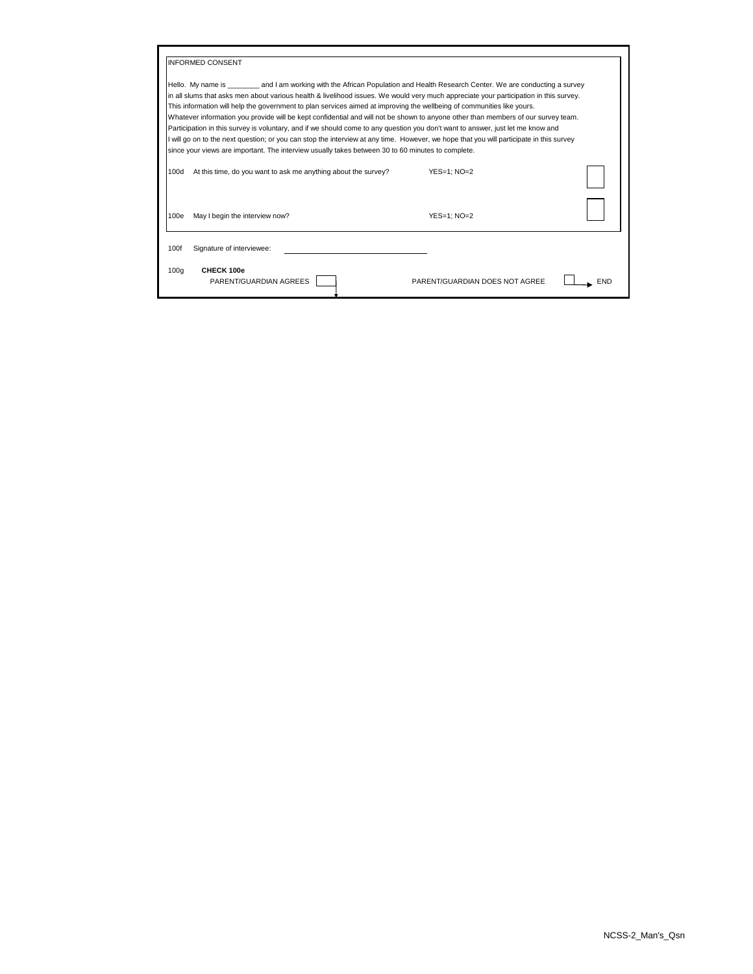|                                                                                                                                                                                                                                                                                                                                                                                                                                                                                                                                                                                                                                                                                                                                                                                                                                                                                                                          | <b>INFORMED CONSENT</b>                                        |                                |  |  |  |
|--------------------------------------------------------------------------------------------------------------------------------------------------------------------------------------------------------------------------------------------------------------------------------------------------------------------------------------------------------------------------------------------------------------------------------------------------------------------------------------------------------------------------------------------------------------------------------------------------------------------------------------------------------------------------------------------------------------------------------------------------------------------------------------------------------------------------------------------------------------------------------------------------------------------------|----------------------------------------------------------------|--------------------------------|--|--|--|
| Hello. My name is example and I am working with the African Population and Health Research Center. We are conducting a survey<br>in all slums that asks men about various health & livelihood issues. We would very much appreciate your participation in this survey.<br>This information will help the government to plan services aimed at improving the wellbeing of communities like yours.<br>Whatever information you provide will be kept confidential and will not be shown to anyone other than members of our survey team.<br>Participation in this survey is voluntary, and if we should come to any question you don't want to answer, just let me know and<br>I will go on to the next question; or you can stop the interview at any time. However, we hope that you will participate in this survey<br>since your views are important. The interview usually takes between 30 to 60 minutes to complete. |                                                                |                                |  |  |  |
| 100d                                                                                                                                                                                                                                                                                                                                                                                                                                                                                                                                                                                                                                                                                                                                                                                                                                                                                                                     | At this time, do you want to ask me anything about the survey? | $YES=1$ : $NO=2$               |  |  |  |
| 100e                                                                                                                                                                                                                                                                                                                                                                                                                                                                                                                                                                                                                                                                                                                                                                                                                                                                                                                     | May I begin the interview now?                                 | $YES=1$ : $NO=2$               |  |  |  |
| 100f                                                                                                                                                                                                                                                                                                                                                                                                                                                                                                                                                                                                                                                                                                                                                                                                                                                                                                                     | Signature of interviewee:                                      |                                |  |  |  |
| 100q                                                                                                                                                                                                                                                                                                                                                                                                                                                                                                                                                                                                                                                                                                                                                                                                                                                                                                                     | CHECK 100e<br>PARENT/GUARDIAN AGREES                           | PARENT/GUARDIAN DOES NOT AGREE |  |  |  |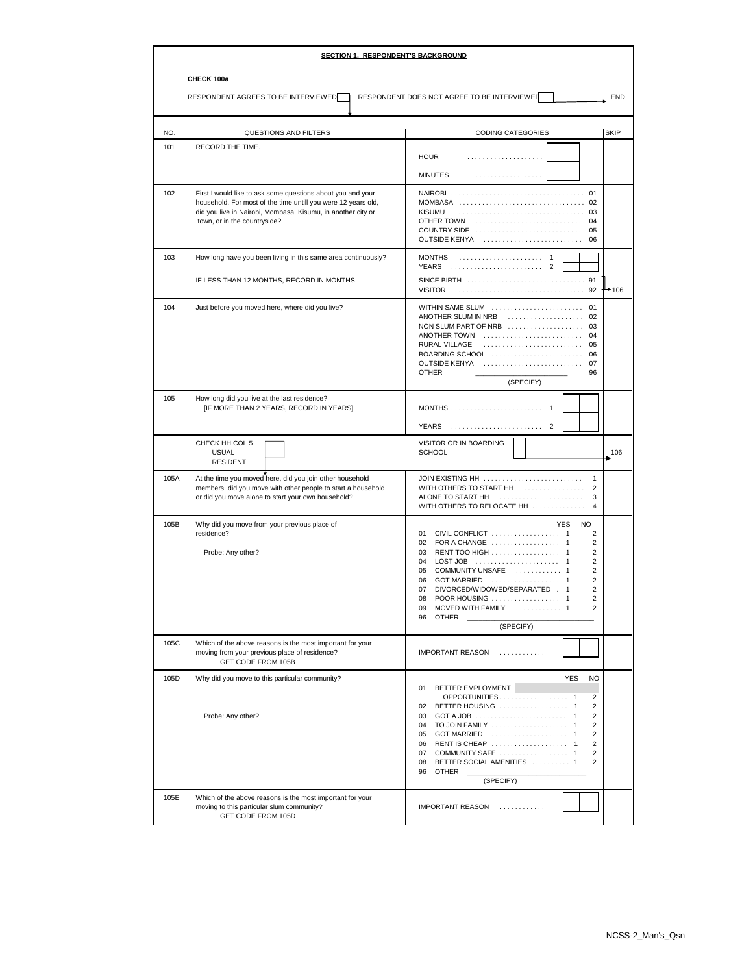|      | <b>SECTION 1. RESPONDENT'S BACKGROUND</b>                                                                                                                                                                                    |                                                                                                                                                                                                                                                                                                                                                                                 |  |  |  |
|------|------------------------------------------------------------------------------------------------------------------------------------------------------------------------------------------------------------------------------|---------------------------------------------------------------------------------------------------------------------------------------------------------------------------------------------------------------------------------------------------------------------------------------------------------------------------------------------------------------------------------|--|--|--|
|      | CHECK 100a                                                                                                                                                                                                                   |                                                                                                                                                                                                                                                                                                                                                                                 |  |  |  |
|      | RESPONDENT AGREES TO BE INTERVIEWED                                                                                                                                                                                          | RESPONDENT DOES NOT AGREE TO BE INTERVIEWED<br>END                                                                                                                                                                                                                                                                                                                              |  |  |  |
| NO.  | <b>QUESTIONS AND FILTERS</b>                                                                                                                                                                                                 | <b>CODING CATEGORIES</b><br><b>SKIP</b>                                                                                                                                                                                                                                                                                                                                         |  |  |  |
| 101  | RECORD THE TIME.                                                                                                                                                                                                             | <b>HOUR</b>                                                                                                                                                                                                                                                                                                                                                                     |  |  |  |
|      |                                                                                                                                                                                                                              | <b>MINUTES</b><br>.                                                                                                                                                                                                                                                                                                                                                             |  |  |  |
| 102  | First I would like to ask some questions about you and your<br>household. For most of the time untill you were 12 years old,<br>did you live in Nairobi, Mombasa, Kisumu, in another city or<br>town, or in the countryside? | OUTSIDE KENYA<br>06                                                                                                                                                                                                                                                                                                                                                             |  |  |  |
| 103  | How long have you been living in this same area continuously?<br>IF LESS THAN 12 MONTHS, RECORD IN MONTHS                                                                                                                    | <b>MONTHS</b><br>YEARS<br>2                                                                                                                                                                                                                                                                                                                                                     |  |  |  |
| 104  | Just before you moved here, where did you live?                                                                                                                                                                              | $+106$<br>WITHIN SAME SLUM  01<br>ANOTHER SLUM IN NRB<br>ANOTHER TOWN<br>04<br>RURAL VILLAGE<br>05<br>BOARDING SCHOOL<br>06<br><b>OUTSIDE KENYA</b><br>07<br><b>OTHER</b><br>96<br>(SPECIFY)                                                                                                                                                                                    |  |  |  |
| 105  | How long did you live at the last residence?<br>[IF MORE THAN 2 YEARS, RECORD IN YEARS]                                                                                                                                      | <b>YEARS</b><br>$\overline{2}$                                                                                                                                                                                                                                                                                                                                                  |  |  |  |
|      | CHECK HH COL 5<br><b>USUAL</b><br><b>RESIDENT</b>                                                                                                                                                                            | VISITOR OR IN BOARDING<br><b>SCHOOL</b><br>106                                                                                                                                                                                                                                                                                                                                  |  |  |  |
| 105A | At the time you moved here, did you join other household<br>members, did you move with other people to start a household<br>or did you move alone to start your own household?                                               | JOIN EXISTING HH<br>$\mathbf{1}$<br>WITH OTHERS TO START HH<br>$\overline{2}$<br>ALONE TO START HH<br>3<br>WITH OTHERS TO RELOCATE HH                                                                                                                                                                                                                                           |  |  |  |
| 105B | Why did you move from your previous place of<br>residence?<br>Probe: Any other?                                                                                                                                              | <b>NO</b><br><b>YES</b><br>01<br>2<br>2<br>RENT TOO HIGH 1<br>$\overline{c}$<br>03<br>2<br>04<br>COMMUNITY UNSAFE  1<br>$\overline{c}$<br>05<br>$\overline{2}$<br><b>GOT MARRIED</b><br>06<br>DIVORCED/WIDOWED/SEPARATED . 1<br>$\overline{2}$<br>07<br>$\overline{c}$<br>POOR HOUSING<br>08<br>MOVED WITH FAMILY  1<br>$\overline{2}$<br>09<br>96<br><b>OTHER</b><br>(SPECIFY) |  |  |  |
| 105C | Which of the above reasons is the most important for your<br>moving from your previous place of residence?<br><b>GET CODE FROM 105B</b>                                                                                      | <b>IMPORTANT REASON</b><br>.                                                                                                                                                                                                                                                                                                                                                    |  |  |  |
| 105D | Why did you move to this particular community?<br>Probe: Any other?                                                                                                                                                          | <b>YES</b><br><b>NO</b><br>BETTER EMPLOYMENT<br>01<br>OPPORTUNITIES 1<br>2<br>BETTER HOUSING  1<br>02<br>2<br>GOT A JOB $\ldots \ldots \ldots \ldots \ldots \ldots \ldots \ldots 1$<br>03<br>2<br>04<br>2<br>2<br>05<br>RENT IS CHEAP  1<br>$\overline{2}$<br>06<br>$\overline{2}$<br>07<br>BETTER SOCIAL AMENITIES  1<br>08<br>2<br>96<br>OTHER<br>(SPECIFY)                   |  |  |  |
| 105E | Which of the above reasons is the most important for your<br>moving to this particular slum community?<br>GET CODE FROM 105D                                                                                                 | <b>IMPORTANT REASON</b><br>.                                                                                                                                                                                                                                                                                                                                                    |  |  |  |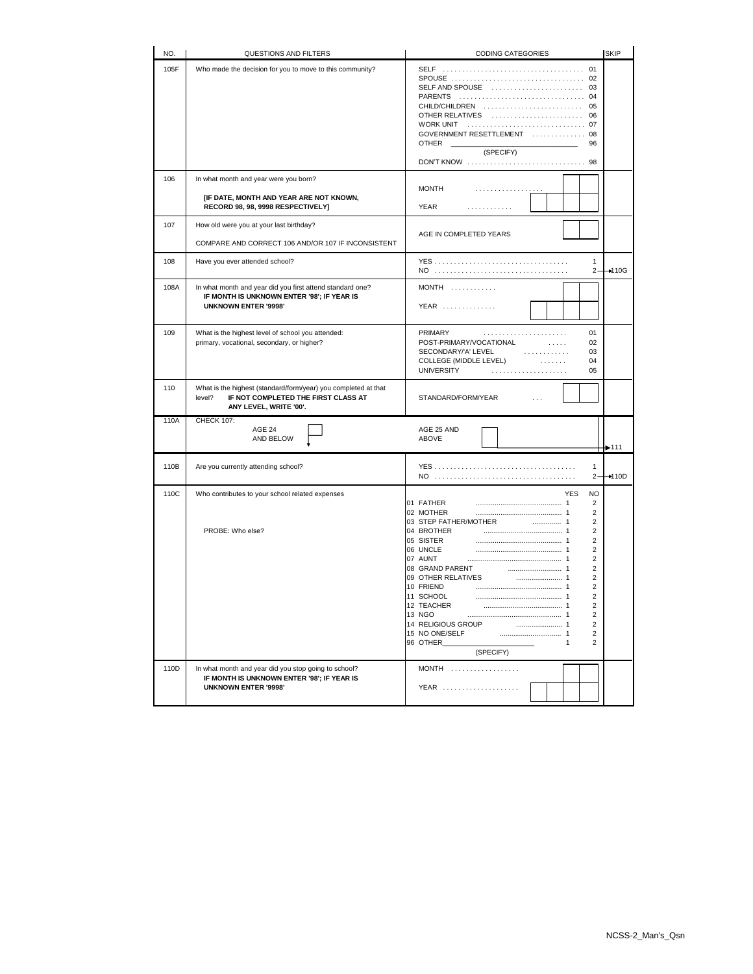| NO.  | QUESTIONS AND FILTERS                                                                                                                     | <b>SKIP</b><br>CODING CATEGORIES                                                                                                                                                                                                                                                                                                                                                                                                                                        |
|------|-------------------------------------------------------------------------------------------------------------------------------------------|-------------------------------------------------------------------------------------------------------------------------------------------------------------------------------------------------------------------------------------------------------------------------------------------------------------------------------------------------------------------------------------------------------------------------------------------------------------------------|
| 105F | Who made the decision for you to move to this community?                                                                                  | SELF AND SPOUSE  03<br>PARENTS  04<br>CHILD/CHILDREN  05<br>OTHER RELATIVES  06<br>GOVERNMENT RESETTLEMENT  08<br><b>OTHER</b><br>96<br>(SPECIFY)                                                                                                                                                                                                                                                                                                                       |
| 106  | In what month and year were you born?<br>[IF DATE, MONTH AND YEAR ARE NOT KNOWN,<br>RECORD 98, 98, 9998 RESPECTIVELY]                     | <b>MONTH</b><br>.<br><b>YEAR</b><br>.                                                                                                                                                                                                                                                                                                                                                                                                                                   |
| 107  | How old were you at your last birthday?<br>COMPARE AND CORRECT 106 AND/OR 107 IF INCONSISTENT                                             | AGE IN COMPLETED YEARS                                                                                                                                                                                                                                                                                                                                                                                                                                                  |
| 108  | Have you ever attended school?                                                                                                            | 1<br>$\rightarrow$ 10G<br>2-                                                                                                                                                                                                                                                                                                                                                                                                                                            |
| 108A | In what month and year did you first attend standard one?<br>IF MONTH IS UNKNOWN ENTER '98'; IF YEAR IS<br><b>UNKNOWN ENTER '9998'</b>    | $MONTH$<br>YEAR                                                                                                                                                                                                                                                                                                                                                                                                                                                         |
| 109  | What is the highest level of school you attended:<br>primary, vocational, secondary, or higher?                                           | PRIMARY<br>01<br>02<br>POST-PRIMARY/VOCATIONAL<br>1.1.1.1<br>03<br>SECONDARY/'A' LEVEL<br>.<br>COLLEGE (MIDDLE LEVEL)<br>04<br>.<br><b>UNIVERSITY</b><br>05                                                                                                                                                                                                                                                                                                             |
| 110  | What is the highest (standard/form/year) you completed at that<br>level?<br>IF NOT COMPLETED THE FIRST CLASS AT<br>ANY LEVEL, WRITE '00'. | STANDARD/FORM/YEAR                                                                                                                                                                                                                                                                                                                                                                                                                                                      |
| 110A | <b>CHECK 107:</b><br>AGE 24<br>AND BELOW                                                                                                  | AGE 25 AND<br>ABOVE<br>$+ 111$                                                                                                                                                                                                                                                                                                                                                                                                                                          |
| 110B | Are you currently attending school?                                                                                                       | 1<br>$\rightarrow$ 110D<br>$2 -$                                                                                                                                                                                                                                                                                                                                                                                                                                        |
| 110C | Who contributes to your school related expenses<br>PROBE: Who else?                                                                       | <b>YES</b><br><b>NO</b><br>01 FATHER<br>2<br>02 MOTHER<br>2<br>2<br>2<br>04 BROTHER<br>$\overline{2}$<br>05 SISTER<br>06 UNCLE<br>$\overline{2}$<br>07 AUNT<br>$\overline{2}$<br>08 GRAND PARENT<br>$\overline{2}$<br>$\overline{2}$<br>09 OTHER RELATIVES<br>10 FRIEND<br>$\overline{2}$<br>11 SCHOOL<br>2<br>12 TEACHER<br>2<br>13 NGO<br>2<br>14 RELIGIOUS GROUP<br>2<br>15 NO ONE/SELF<br>$\overline{c}$<br>96 OTHER<br>$\overline{2}$<br>$\mathbf{1}$<br>(SPECIFY) |
| 110D | In what month and year did you stop going to school?<br>IF MONTH IS UNKNOWN ENTER '98'; IF YEAR IS<br><b>UNKNOWN ENTER '9998'</b>         | <b>MONTH</b><br>YEAR                                                                                                                                                                                                                                                                                                                                                                                                                                                    |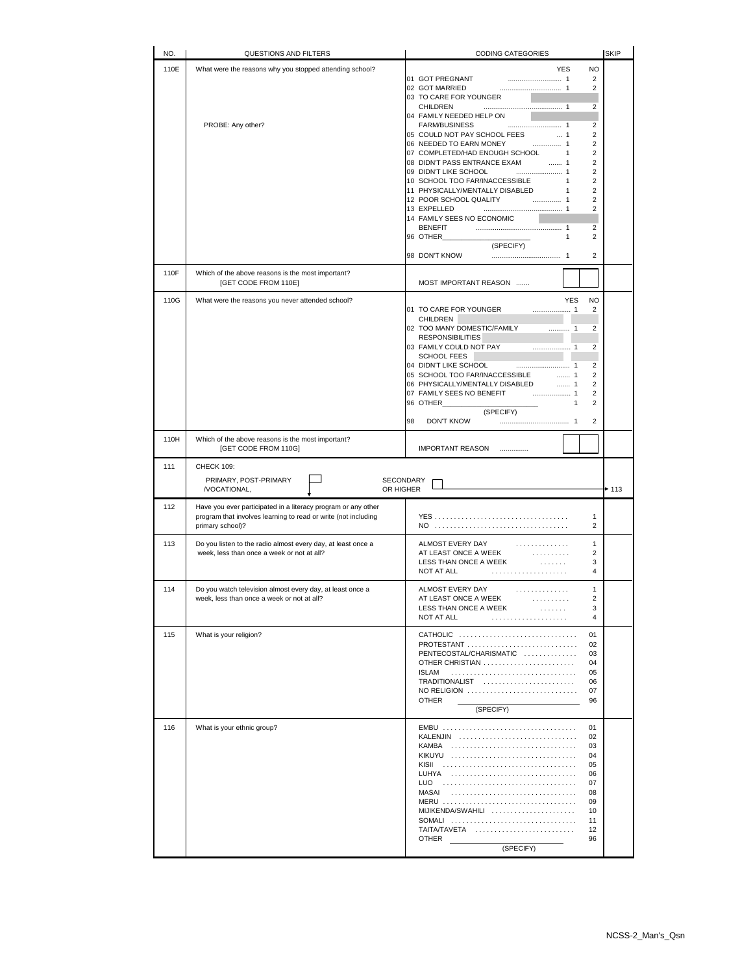| NO.  | QUESTIONS AND FILTERS                                                                                                                               | CODING CATEGORIES                                                                                                                                                                                                                                                                          | <b>SKIP</b> |
|------|-----------------------------------------------------------------------------------------------------------------------------------------------------|--------------------------------------------------------------------------------------------------------------------------------------------------------------------------------------------------------------------------------------------------------------------------------------------|-------------|
| 110E | What were the reasons why you stopped attending school?                                                                                             | <b>NO</b><br><b>YES</b><br>$\overline{2}$<br>01 GOT PREGNANT<br>$\overline{2}$<br>02 GOT MARRIED                                                                                                                                                                                           |             |
|      | PROBE: Any other?                                                                                                                                   | 03 TO CARE FOR YOUNGER<br>CHILDREN<br>2<br>04 FAMILY NEEDED HELP ON<br><b>FARM/BUSINESS</b><br>$\overline{2}$                                                                                                                                                                              |             |
|      |                                                                                                                                                     | $\overline{2}$<br>05 COULD NOT PAY SCHOOL FEES  1<br>06 NEEDED TO EARN MONEY  1<br>$\overline{2}$                                                                                                                                                                                          |             |
|      |                                                                                                                                                     | 07 COMPLETED/HAD ENOUGH SCHOOL 1<br>$\overline{2}$<br>08 DIDN'T PASS ENTRANCE EXAM  1<br>$\overline{2}$<br>$\overline{2}$                                                                                                                                                                  |             |
|      |                                                                                                                                                     | 10 SCHOOL TOO FAR/INACCESSIBLE 1<br>$\overline{2}$                                                                                                                                                                                                                                         |             |
|      |                                                                                                                                                     | 11 PHYSICALLY/MENTALLY DISABLED<br>$\overline{2}$<br>$\overline{1}$<br>$\overline{2}$                                                                                                                                                                                                      |             |
|      |                                                                                                                                                     | 13 EXPELLED<br>$\overline{2}$<br>14 FAMILY SEES NO ECONOMIC                                                                                                                                                                                                                                |             |
|      |                                                                                                                                                     | $\overline{2}$<br>96 OTHER<br>$\overline{2}$<br>1                                                                                                                                                                                                                                          |             |
|      |                                                                                                                                                     | (SPECIFY)<br>$\overline{2}$                                                                                                                                                                                                                                                                |             |
| 110F | Which of the above reasons is the most important?                                                                                                   | 98 DON'T KNOW                                                                                                                                                                                                                                                                              |             |
|      | [GET CODE FROM 110E]                                                                                                                                | MOST IMPORTANT REASON                                                                                                                                                                                                                                                                      |             |
| 110G | What were the reasons you never attended school?                                                                                                    | <b>YES</b><br><b>NO</b><br>01 TO CARE FOR YOUNGER<br>2                                                                                                                                                                                                                                     |             |
|      |                                                                                                                                                     | CHILDREN                                                                                                                                                                                                                                                                                   |             |
|      |                                                                                                                                                     | $\overline{2}$<br>02 TOO MANY DOMESTIC/FAMILY<br><b>RESPONSIBILITIES</b>                                                                                                                                                                                                                   |             |
|      |                                                                                                                                                     | $\overline{2}$<br>SCHOOL FEES                                                                                                                                                                                                                                                              |             |
|      |                                                                                                                                                     | $\overline{2}$<br>05 SCHOOL TOO FAR/INACCESSIBLE  1<br>$\overline{2}$                                                                                                                                                                                                                      |             |
|      |                                                                                                                                                     | 06 PHYSICALLY/MENTALLY DISABLED<br>. 1<br>$\overline{2}$                                                                                                                                                                                                                                   |             |
|      |                                                                                                                                                     | $\overline{2}$<br>96 OTHER <b>All According to the State of the State of The State of The State of The State of The State of The State of The State of The State of The State of The State of The State of The State of The State of The State of </b><br>$\overline{2}$<br>$\overline{1}$ |             |
|      |                                                                                                                                                     | (SPECIFY)<br><b>DON'T KNOW</b><br>$\overline{2}$<br>98                                                                                                                                                                                                                                     |             |
| 110H | Which of the above reasons is the most important?<br>[GET CODE FROM 110G]                                                                           | IMPORTANT REASON                                                                                                                                                                                                                                                                           |             |
| 111  | <b>CHECK 109:</b>                                                                                                                                   |                                                                                                                                                                                                                                                                                            |             |
|      | PRIMARY, POST-PRIMARY<br>/VOCATIONAL,<br>OR HIGHER                                                                                                  | SECONDARY                                                                                                                                                                                                                                                                                  | $+ 113$     |
| 112  | Have you ever participated in a literacy program or any other<br>program that involves learning to read or write (not including<br>primary school)? | 1<br>NO<br>2                                                                                                                                                                                                                                                                               |             |
| 113  | Do you listen to the radio almost every day, at least once a<br>week, less than once a week or not at all?                                          | ALMOST EVERY DAY<br>1<br>AT LEAST ONCE A WEEK<br>$\overline{2}$<br>.                                                                                                                                                                                                                       |             |
|      |                                                                                                                                                     | LESS THAN ONCE A WEEK<br>3<br>.<br>NOT AT ALL<br>4<br>.                                                                                                                                                                                                                                    |             |
| 114  | Do you watch television almost every day, at least once a                                                                                           | ALMOST EVERY DAY<br>1                                                                                                                                                                                                                                                                      |             |
|      | week, less than once a week or not at all?                                                                                                          | .<br>AT LEAST ONCE A WEEK<br>2<br>.                                                                                                                                                                                                                                                        |             |
|      |                                                                                                                                                     | LESS THAN ONCE A WEEK<br>3<br>.<br>NOT AT ALL<br>4<br>.                                                                                                                                                                                                                                    |             |
| 115  | What is your religion?                                                                                                                              | CATHOLIC<br>01                                                                                                                                                                                                                                                                             |             |
|      |                                                                                                                                                     | PROTESTANT<br>02<br>PENTECOSTAL/CHARISMATIC<br>03                                                                                                                                                                                                                                          |             |
|      |                                                                                                                                                     | OTHER CHRISTIAN<br>04<br>05<br><b>ISLAM</b>                                                                                                                                                                                                                                                |             |
|      |                                                                                                                                                     | TRADITIONALIST<br>06                                                                                                                                                                                                                                                                       |             |
|      |                                                                                                                                                     | NO RELIGION<br>07<br><b>OTHER</b><br>96                                                                                                                                                                                                                                                    |             |
|      |                                                                                                                                                     | (SPECIFY)                                                                                                                                                                                                                                                                                  |             |
| 116  | What is your ethnic group?                                                                                                                          | EMBU<br>01<br>KALENJIN<br>02                                                                                                                                                                                                                                                               |             |
|      |                                                                                                                                                     | KAMBA<br>03<br>KIKUYU<br>04                                                                                                                                                                                                                                                                |             |
|      |                                                                                                                                                     | 05<br>LUHYA<br>06                                                                                                                                                                                                                                                                          |             |
|      |                                                                                                                                                     | 07                                                                                                                                                                                                                                                                                         |             |
|      |                                                                                                                                                     | MASAI<br>08<br>09                                                                                                                                                                                                                                                                          |             |
|      |                                                                                                                                                     | MIJIKENDA/SWAHILI<br>10<br>SOMALI<br>11                                                                                                                                                                                                                                                    |             |
|      |                                                                                                                                                     | TAITA/TAVETA<br>12<br><b>OTHER</b><br>96                                                                                                                                                                                                                                                   |             |
|      |                                                                                                                                                     | (SPECIFY)                                                                                                                                                                                                                                                                                  |             |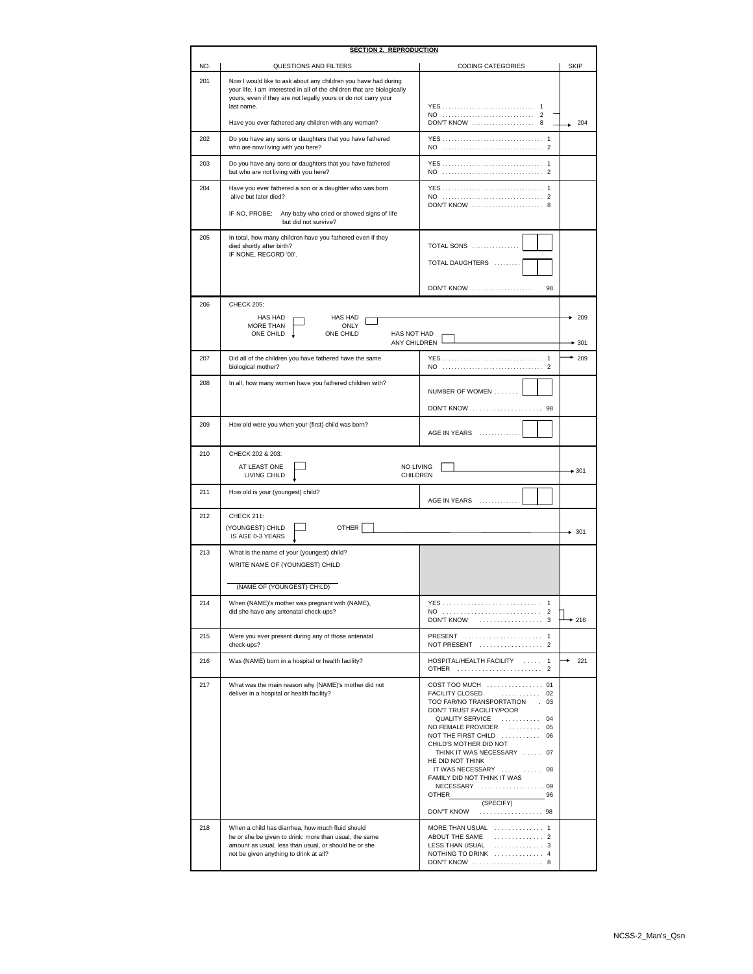| <b>SECTION 2. REPRODUCTION</b> |                                                                                                                                                                                                                           |                                                                                                                                                                                                                                                                                                                                                                                                       |               |  |
|--------------------------------|---------------------------------------------------------------------------------------------------------------------------------------------------------------------------------------------------------------------------|-------------------------------------------------------------------------------------------------------------------------------------------------------------------------------------------------------------------------------------------------------------------------------------------------------------------------------------------------------------------------------------------------------|---------------|--|
| NO.                            | QUESTIONS AND FILTERS                                                                                                                                                                                                     | <b>CODING CATEGORIES</b>                                                                                                                                                                                                                                                                                                                                                                              | <b>SKIP</b>   |  |
| 201                            | Now I would like to ask about any children you have had during<br>your life. I am interested in all of the children that are biologically<br>yours, even if they are not legally yours or do not carry your<br>last name. | <b>YES</b>                                                                                                                                                                                                                                                                                                                                                                                            |               |  |
|                                | Have you ever fathered any children with any woman?                                                                                                                                                                       | DON'T KNOW  8                                                                                                                                                                                                                                                                                                                                                                                         | 204           |  |
| 202                            | Do you have any sons or daughters that you have fathered<br>who are now living with you here?                                                                                                                             |                                                                                                                                                                                                                                                                                                                                                                                                       |               |  |
| 203                            | Do you have any sons or daughters that you have fathered<br>but who are not living with you here?                                                                                                                         |                                                                                                                                                                                                                                                                                                                                                                                                       |               |  |
| 204                            | Have you ever fathered a son or a daughter who was born<br>alive but later died?                                                                                                                                          | DON'T KNOW  8                                                                                                                                                                                                                                                                                                                                                                                         |               |  |
|                                | IF NO. PROBE:<br>Any baby who cried or showed signs of life<br>but did not survive?                                                                                                                                       |                                                                                                                                                                                                                                                                                                                                                                                                       |               |  |
| 205                            | In total, how many children have you fathered even if they<br>died shortly after birth?<br>IF NONE, RECORD '00'.                                                                                                          | TOTAL SONS<br>TOTAL DAUGHTERS<br><b>DON'T KNOW</b><br>98                                                                                                                                                                                                                                                                                                                                              |               |  |
| 206                            | CHECK 205:                                                                                                                                                                                                                |                                                                                                                                                                                                                                                                                                                                                                                                       |               |  |
|                                | HAS HAD<br><b>HAS HAD</b><br>MORE THAN<br>ONLY<br>ONE CHILD<br>ONE CHILD<br>HAS NOT HAD<br>ANY CHILDREN                                                                                                                   |                                                                                                                                                                                                                                                                                                                                                                                                       | 209<br>$-301$ |  |
| 207                            | Did all of the children you have fathered have the same<br>biological mother?                                                                                                                                             |                                                                                                                                                                                                                                                                                                                                                                                                       | $*$ 209       |  |
| 208                            | In all, how many women have you fathered children with?                                                                                                                                                                   | NUMBER OF WOMEN<br>DON'T KNOW  98                                                                                                                                                                                                                                                                                                                                                                     |               |  |
| 209                            | How old were you when your (first) child was born?                                                                                                                                                                        | AGE IN YEARS<br>.                                                                                                                                                                                                                                                                                                                                                                                     |               |  |
| 210                            | CHECK 202 & 203:                                                                                                                                                                                                          |                                                                                                                                                                                                                                                                                                                                                                                                       |               |  |
|                                | NO LIVING<br>AT LEAST ONE<br>LIVING CHILD<br>CHILDREN                                                                                                                                                                     |                                                                                                                                                                                                                                                                                                                                                                                                       | $+301$        |  |
| 211                            | How old is your (youngest) child?                                                                                                                                                                                         | AGE IN YEARS                                                                                                                                                                                                                                                                                                                                                                                          |               |  |
| 212                            | <b>CHECK 211:</b><br><b>OTHER</b><br>(YOUNGEST) CHILD<br>IS AGE 0-3 YEARS                                                                                                                                                 |                                                                                                                                                                                                                                                                                                                                                                                                       | $+ 301$       |  |
| 213                            | What is the name of your (youngest) child?<br>WRITE NAME OF (YOUNGEST) CHILD<br>(NAME OF (YOUNGEST) CHILD)                                                                                                                |                                                                                                                                                                                                                                                                                                                                                                                                       |               |  |
| 214                            | When (NAME)'s mother was pregnant with (NAME),<br>did she have any antenatal check-ups?                                                                                                                                   | <b>DON'T KNOW</b><br>$\ldots \ldots \ldots \ldots \ldots \ldots 3$                                                                                                                                                                                                                                                                                                                                    | $+216$        |  |
| 215                            | Were you ever present during any of those antenatal<br>check-ups?                                                                                                                                                         | PRESENT  1<br>NOT PRESENT  2                                                                                                                                                                                                                                                                                                                                                                          |               |  |
| 216                            | Was (NAME) born in a hospital or health facility?                                                                                                                                                                         | HOSPITAL/HEALTH FACILITY  1<br>OTHER  2                                                                                                                                                                                                                                                                                                                                                               | 221           |  |
| 217                            | What was the main reason why (NAME)'s mother did not<br>deliver in a hospital or health facility?                                                                                                                         | COST TOO MUCH  01<br>FACILITY CLOSED<br>. 02<br>TOO FAR/NO TRANSPORTATION . 03<br>DON'T TRUST FACILITY/POOR<br>QUALITY SERVICE  04<br>NO FEMALE PROVIDER  05<br>NOT THE FIRST CHILD  06<br>CHILD'S MOTHER DID NOT<br>THINK IT WAS NECESSARY  07<br>HE DID NOT THINK<br>IT WAS NECESSARY   08<br>FAMILY DID NOT THINK IT WAS<br>NECESSARY  09<br>OTHER<br>96<br>(SPECIFY)<br><b>DON"T KNOW</b><br>. 98 |               |  |
| 218                            | When a child has diarrhea, how much fluid should<br>he or she be given to drink: more than usual, the same<br>amount as usual, less than usual, or should he or she<br>not be given anything to drink at all?             | MORE THAN USUAL  1<br>ABOUT THE SAME<br>. 2<br>LESS THAN USUAL  3<br>NOTHING TO DRINK  4<br>DON'T KNOW  8                                                                                                                                                                                                                                                                                             |               |  |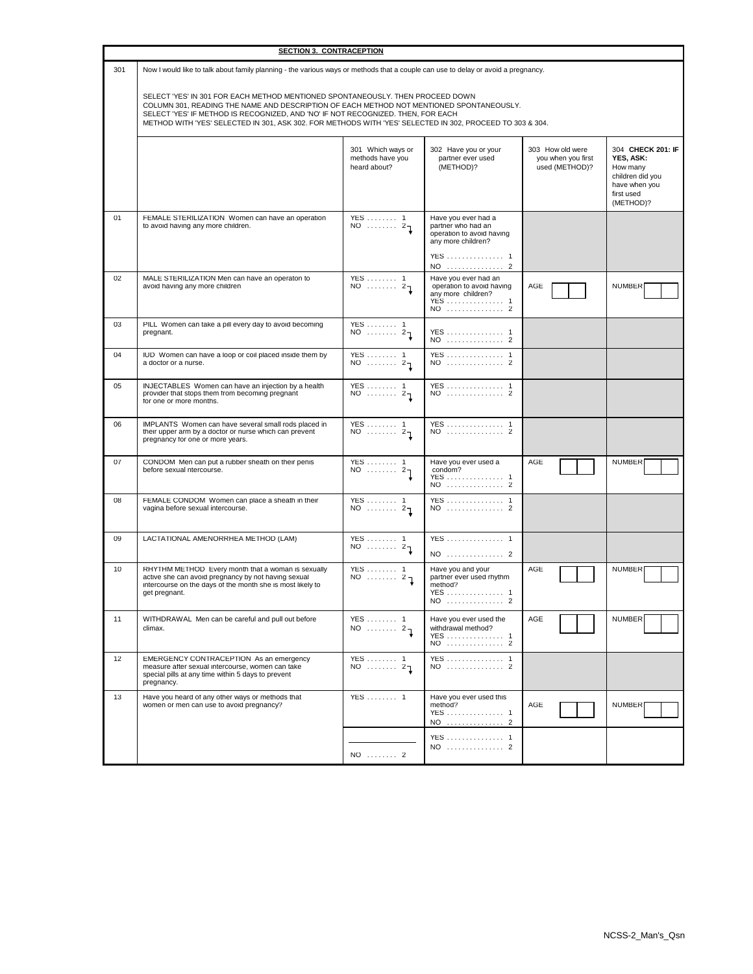|     | <b>SECTION 3. CONTRACEPTION</b>                                                                                                                                                                                                                                                                                                                                             |                                                       |                                                                                                                |                                                          |                                                                                                            |
|-----|-----------------------------------------------------------------------------------------------------------------------------------------------------------------------------------------------------------------------------------------------------------------------------------------------------------------------------------------------------------------------------|-------------------------------------------------------|----------------------------------------------------------------------------------------------------------------|----------------------------------------------------------|------------------------------------------------------------------------------------------------------------|
| 301 | Now I would like to talk about family planning - the various ways or methods that a couple can use to delay or avoid a pregnancy.                                                                                                                                                                                                                                           |                                                       |                                                                                                                |                                                          |                                                                                                            |
|     | SELECT 'YES' IN 301 FOR EACH METHOD MENTIONED SPONTANEOUSLY. THEN PROCEED DOWN<br>COLUMN 301, READING THE NAME AND DESCRIPTION OF EACH METHOD NOT MENTIONED SPONTANEOUSLY.<br>SELECT 'YES' IF METHOD IS RECOGNIZED, AND 'NO' IF NOT RECOGNIZED. THEN, FOR EACH<br>METHOD WITH 'YES' SELECTED IN 301, ASK 302. FOR METHODS WITH 'YES' SELECTED IN 302, PROCEED TO 303 & 304. |                                                       |                                                                                                                |                                                          |                                                                                                            |
|     |                                                                                                                                                                                                                                                                                                                                                                             | 301 Which ways or<br>methods have you<br>heard about? | 302 Have you or your<br>partner ever used<br>(METHOD)?                                                         | 303 How old were<br>you when you first<br>used (METHOD)? | 304 CHECK 201: IF<br>YES, ASK:<br>How many<br>children did you<br>have when you<br>first used<br>(METHOD)? |
| 01  | FEMALE STERILIZATION Women can have an operation<br>to avoid having any more children.                                                                                                                                                                                                                                                                                      | YES  1<br>$NO$ $27$                                   | Have you ever had a<br>partner who had an<br>operation to avoid having<br>any more children?<br>YES 1<br>NO  2 |                                                          |                                                                                                            |
| 02  | MALE STERILIZATION Men can have an operaton to<br>avoid having any more children                                                                                                                                                                                                                                                                                            | YES  1<br>$NO$ $27$                                   | Have you ever had an<br>operation to avoid having<br>any more children?<br>YES  1<br>NO  2                     | AGE                                                      | <b>NUMBER</b>                                                                                              |
| 03  | PILL Women can take a pill every day to avoid becoming<br>pregnant.                                                                                                                                                                                                                                                                                                         | $YES$ 1<br>$NO$ $21$                                  | YES 1<br>NO  2                                                                                                 |                                                          |                                                                                                            |
| 04  | IUD Women can have a loop or coil placed inside them by<br>a doctor or a nurse.                                                                                                                                                                                                                                                                                             | YES  1<br>$NO$ $21$                                   | YES 1<br>NO  2                                                                                                 |                                                          |                                                                                                            |
| 05  | INJECTABLES Women can have an injection by a health<br>provider that stops them from becoming pregnant<br>for one or more months.                                                                                                                                                                                                                                           | YES  1<br>$NO$ $21$                                   | YES  1<br>NO  2                                                                                                |                                                          |                                                                                                            |
| 06  | IMPLANTS Women can have several small rods placed in<br>their upper arm by a doctor or nurse which can prevent<br>pregnancy for one or more years.                                                                                                                                                                                                                          | YES  1<br>$NO$ $27$                                   | YES  1<br>NO  2                                                                                                |                                                          |                                                                                                            |
| 07  | CONDOM Men can put a rubber sheath on their penis<br>before sexual ntercourse.                                                                                                                                                                                                                                                                                              | YES  1<br>$NO$ $27$                                   | Have you ever used a<br>condom?<br>YES 1<br>NO  2                                                              | AGE                                                      | <b>NUMBER</b>                                                                                              |
| 08  | FEMALE CONDOM Women can place a sheath in their<br>vagina before sexual intercourse.                                                                                                                                                                                                                                                                                        | YES  1<br>$\overline{NO}$ $2\overline{1}$             | YES  1<br>NO  2                                                                                                |                                                          |                                                                                                            |
| 09  | LACTATIONAL AMENORRHEA METHOD (LAM)                                                                                                                                                                                                                                                                                                                                         | $YES \dots \dots 1$<br>$NO$ $21$                      | YES  1<br>NO  2                                                                                                |                                                          |                                                                                                            |
| 10  | RHYTHM METHOD Every month that a woman is sexually<br>active she can avoid pregnancy by not having sexual<br>intercourse on the days of the month she is most likely to<br>get pregnant.                                                                                                                                                                                    | YES  1<br>$NO$ $27$                                   | Have you and your<br>partner ever used rhythm<br>method?<br>YES  1<br>NO  2                                    | AGE                                                      | <b>NUMBER</b>                                                                                              |
| 11  | WITHDRAWAL Men can be careful and pull out before<br>climax.                                                                                                                                                                                                                                                                                                                | YES  1<br>NO $\cdots$ 2                               | Have you ever used the<br>withdrawal method?<br>YES 1<br>NO  2                                                 | AGE                                                      | <b>NUMBER</b>                                                                                              |
| 12  | EMERGENCY CONTRACEPTION As an emergency<br>measure after sexual intercourse, women can take<br>special pills at any time within 5 days to prevent<br>pregnancy.                                                                                                                                                                                                             | YES  1<br>$NO$ $21$                                   | YES 1<br>NO  2                                                                                                 |                                                          |                                                                                                            |
| 13  | Have you heard of any other ways or methods that<br>women or men can use to avoid pregnancy?                                                                                                                                                                                                                                                                                | YES  1                                                | Have you ever used this<br>method?<br>YES 1<br>NO  2                                                           | AGE                                                      | <b>NUMBER</b>                                                                                              |
|     |                                                                                                                                                                                                                                                                                                                                                                             |                                                       | YES 1<br>NO  2                                                                                                 |                                                          |                                                                                                            |
|     |                                                                                                                                                                                                                                                                                                                                                                             | NO  2                                                 |                                                                                                                |                                                          |                                                                                                            |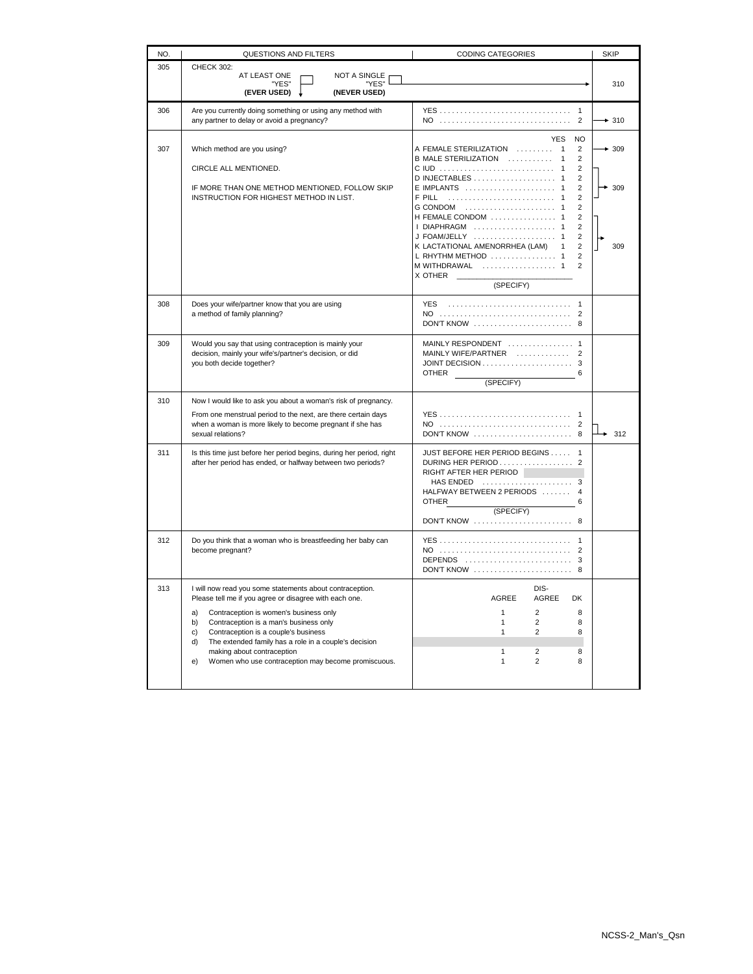| NO. | QUESTIONS AND FILTERS                                                                                                                                                                                                                                                                                                                                                                                                      | <b>CODING CATEGORIES</b>                                                                                                                                                                                                                                                                                               | <b>SKIP</b>   |
|-----|----------------------------------------------------------------------------------------------------------------------------------------------------------------------------------------------------------------------------------------------------------------------------------------------------------------------------------------------------------------------------------------------------------------------------|------------------------------------------------------------------------------------------------------------------------------------------------------------------------------------------------------------------------------------------------------------------------------------------------------------------------|---------------|
| 305 | <b>CHECK 302:</b><br>AT LEAST ONE<br>NOT A SINGLE<br>"YES"<br>"YES"<br>(EVER USED)<br>(NEVER USED)                                                                                                                                                                                                                                                                                                                         |                                                                                                                                                                                                                                                                                                                        | 310           |
| 306 | Are you currently doing something or using any method with<br>any partner to delay or avoid a pregnancy?                                                                                                                                                                                                                                                                                                                   | NO<br>2                                                                                                                                                                                                                                                                                                                | $+310$        |
| 307 | Which method are you using?<br>CIRCLE ALL MENTIONED.<br>IF MORE THAN ONE METHOD MENTIONED, FOLLOW SKIP<br>INSTRUCTION FOR HIGHEST METHOD IN LIST.                                                                                                                                                                                                                                                                          | <b>YES</b><br><b>NO</b><br>A FEMALE STERILIZATION  1<br>$\overline{2}$<br>$\overline{2}$<br>B MALE STERILIZATION<br>$\overline{1}$<br>$\overline{2}$<br>$\overline{2}$<br>E IMPLANTS  1<br>$\overline{2}$<br>$\overline{2}$<br>$\overline{1}$<br>$\overline{2}$<br>G CONDOM  1<br>H FEMALE CONDOM  1<br>$\overline{2}$ | $-309$<br>309 |
|     |                                                                                                                                                                                                                                                                                                                                                                                                                            | $\overline{2}$<br>I DIAPHRAGM  1<br>$\overline{2}$<br>J FOAM/JELLY  1<br>$\overline{2}$<br>K LACTATIONAL AMENORRHEA (LAM)<br>$\mathbf{1}$<br>L RHYTHM METHOD  1<br>$\overline{2}$<br>MWITHDRAWAL  1<br>$\overline{2}$<br>X OTHER<br>(SPECIFY)                                                                          | 309           |
| 308 | Does your wife/partner know that you are using<br>a method of family planning?                                                                                                                                                                                                                                                                                                                                             | <b>YES</b><br>NO<br>$\overline{2}$<br>DON'T KNOW  8                                                                                                                                                                                                                                                                    |               |
| 309 | Would you say that using contraception is mainly your<br>decision, mainly your wife's/partner's decision, or did<br>you both decide together?                                                                                                                                                                                                                                                                              | MAINLY RESPONDENT  1<br>MAINLY WIFE/PARTNER  2<br>OTHER<br>6<br>(SPECIFY)                                                                                                                                                                                                                                              |               |
| 310 | Now I would like to ask you about a woman's risk of pregnancy.<br>From one menstrual period to the next, are there certain days<br>when a woman is more likely to become pregnant if she has<br>sexual relations?                                                                                                                                                                                                          | NO<br>$\overline{2}$<br>DON'T KNOW  8                                                                                                                                                                                                                                                                                  | 312           |
| 311 | Is this time just before her period begins, during her period, right<br>after her period has ended, or halfway between two periods?                                                                                                                                                                                                                                                                                        | JUST BEFORE HER PERIOD BEGINS 1<br>DURING HER PERIOD  2<br>RIGHT AFTER HER PERIOD<br>HALFWAY BETWEEN 2 PERIODS  4<br>OTHER<br>6<br>(SPECIFY)<br>DON'T KNOW  8                                                                                                                                                          |               |
| 312 | Do you think that a woman who is breastfeeding her baby can<br>become pregnant?                                                                                                                                                                                                                                                                                                                                            | $\mathbf{1}$<br>NO  2<br>DEPENDS  3                                                                                                                                                                                                                                                                                    |               |
| 313 | I will now read you some statements about contraception.<br>Please tell me if you agree or disagree with each one.<br>a)<br>Contraception is women's business only<br>b)<br>Contraception is a man's business only<br>c)<br>Contraception is a couple's business<br>The extended family has a role in a couple's decision<br>d)<br>making about contraception<br>Women who use contraception may become promiscuous.<br>e) | DIS-<br>AGREE<br>AGREE<br>DK<br>$\overline{2}$<br>$\mathbf{1}$<br>8<br>$\mathbf{1}$<br>$\overline{2}$<br>8<br>$\overline{2}$<br>R<br>1<br>$\overline{2}$<br>$\mathbf{1}$<br>8<br>$\mathbf{1}$<br>$\overline{2}$<br>8                                                                                                   |               |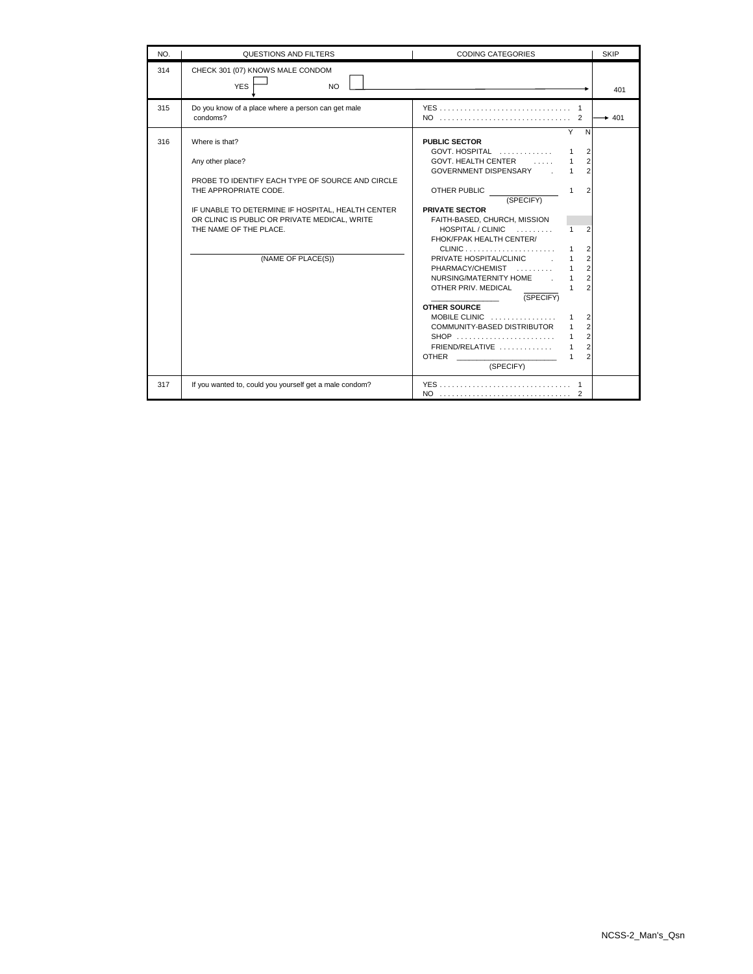| NO. | QUESTIONS AND FILTERS                                                                                                                                                                                                                                                 | <b>CODING CATEGORIES</b>                                                                                                                                                                                                                                                                                                                                                                                                                                                                                                                                                                                                                                                                                                                                                                                                                                                                                                                                                        | <b>SKIP</b> |
|-----|-----------------------------------------------------------------------------------------------------------------------------------------------------------------------------------------------------------------------------------------------------------------------|---------------------------------------------------------------------------------------------------------------------------------------------------------------------------------------------------------------------------------------------------------------------------------------------------------------------------------------------------------------------------------------------------------------------------------------------------------------------------------------------------------------------------------------------------------------------------------------------------------------------------------------------------------------------------------------------------------------------------------------------------------------------------------------------------------------------------------------------------------------------------------------------------------------------------------------------------------------------------------|-------------|
| 314 | CHECK 301 (07) KNOWS MALE CONDOM<br><b>YES</b><br><b>NO</b>                                                                                                                                                                                                           |                                                                                                                                                                                                                                                                                                                                                                                                                                                                                                                                                                                                                                                                                                                                                                                                                                                                                                                                                                                 | 401         |
| 315 | Do you know of a place where a person can get male<br>condoms?                                                                                                                                                                                                        |                                                                                                                                                                                                                                                                                                                                                                                                                                                                                                                                                                                                                                                                                                                                                                                                                                                                                                                                                                                 | $+ 401$     |
| 316 | Where is that?<br>Any other place?<br>PROBE TO IDENTIFY EACH TYPE OF SOURCE AND CIRCLE<br>THE APPROPRIATE CODE.<br>IF UNABLE TO DETERMINE IF HOSPITAL, HEALTH CENTER<br>OR CLINIC IS PUBLIC OR PRIVATE MEDICAL, WRITE<br>THE NAME OF THE PLACE.<br>(NAME OF PLACE(S)) | Y<br>$\mathsf{N}$<br><b>PUBLIC SECTOR</b><br>GOVT. HOSPITAL $\ldots, \ldots, \ldots$<br>$\overline{2}$<br>1<br>$\overline{2}$<br>GOVT. HEALTH CENTER<br>$\overline{2}$<br>GOVERNMENT DISPENSARY .<br>1<br>$\mathcal{P}$<br>OTHER PUBLIC<br>$\mathbf{1}$<br>(SPECIFY)<br><b>PRIVATE SECTOR</b><br>FAITH-BASED, CHURCH, MISSION<br>HOSPITAL / CLINIC<br>$\overline{2}$<br>$\mathbf{1}$<br>FHOK/FPAK HEALTH CENTER/<br>$CLINIC$<br>$\overline{2}$<br>1<br>$\overline{2}$<br>PRIVATE HOSPITAL/CLINIC [1995]<br>1<br>$\overline{2}$<br>PHARMACY/CHEMIST<br>$\mathbf{1}$<br>$\overline{2}$<br>NURSING/MATERNITY HOME.<br>$\mathbf{1}$<br>$\mathfrak{p}$<br>OTHER PRIV. MEDICAL<br>1<br>(SPECIFY)<br><b>OTHER SOURCE</b><br>MOBILE CLINIC<br>$\overline{2}$<br>1<br>$\overline{2}$<br>COMMUNITY-BASED DISTRIBUTOR<br>1<br>$\overline{2}$<br>$\mathbf{1}$<br>$\overline{2}$<br>$FRIEND/RELATIVE$<br>1<br>$\mathfrak{p}$<br>OTHER _________________________<br>$\mathbf{1}$<br>(SPECIFY) |             |
| 317 | If you wanted to, could you yourself get a male condom?                                                                                                                                                                                                               |                                                                                                                                                                                                                                                                                                                                                                                                                                                                                                                                                                                                                                                                                                                                                                                                                                                                                                                                                                                 |             |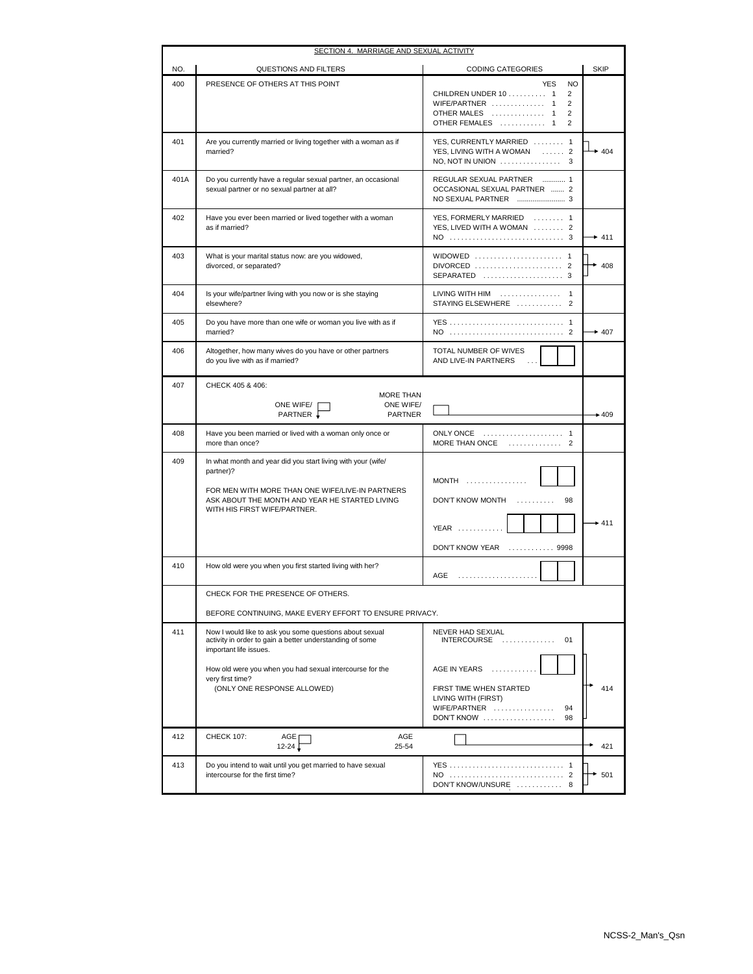| SECTION 4. MARRIAGE AND SEXUAL ACTIVITY |                                                                                                                                               |                                                                                                                                                         |             |  |
|-----------------------------------------|-----------------------------------------------------------------------------------------------------------------------------------------------|---------------------------------------------------------------------------------------------------------------------------------------------------------|-------------|--|
| NO.                                     | QUESTIONS AND FILTERS                                                                                                                         | <b>CODING CATEGORIES</b>                                                                                                                                | <b>SKIP</b> |  |
| 400                                     | PRESENCE OF OTHERS AT THIS POINT                                                                                                              | <b>YES</b><br><b>NO</b><br>CHILDREN UNDER 10 1<br>2<br>WIFE/PARTNER  1<br>2<br>OTHER MALES<br>2<br>$\mathbf{1}$<br>OTHER FEMALES<br>$\overline{2}$<br>1 |             |  |
| 401                                     | Are you currently married or living together with a woman as if<br>married?                                                                   | YES, CURRENTLY MARRIED  1<br>YES, LIVING WITH A WOMAN  2<br>NO, NOT IN UNION $\ldots \ldots \ldots \ldots \ldots$ 3                                     | $+404$      |  |
| 401A                                    | Do you currently have a regular sexual partner, an occasional<br>sexual partner or no sexual partner at all?                                  | REGULAR SEXUAL PARTNER  1<br>OCCASIONAL SEXUAL PARTNER  2                                                                                               |             |  |
| 402                                     | Have you ever been married or lived together with a woman<br>as if married?                                                                   | YES, FORMERLY MARRIED  1<br>YES, LIVED WITH A WOMAN  2                                                                                                  | $+ 411$     |  |
| 403                                     | What is your marital status now: are you widowed,<br>divorced, or separated?                                                                  | WIDOWED  1<br>DIVORCED  2<br>SEPARATED  3                                                                                                               | 408         |  |
| 404                                     | Is your wife/partner living with you now or is she staying<br>elsewhere?                                                                      | LIVING WITH HIM<br>$\mathbf{1}$<br>STAYING ELSEWHERE  2                                                                                                 |             |  |
| 405                                     | Do you have more than one wife or woman you live with as if<br>married?                                                                       | YES  1                                                                                                                                                  | $+407$      |  |
| 406                                     | Altogether, how many wives do you have or other partners<br>do you live with as if married?                                                   | TOTAL NUMBER OF WIVES<br>AND LIVE-IN PARTNERS                                                                                                           |             |  |
| 407                                     | CHECK 405 & 406:                                                                                                                              |                                                                                                                                                         |             |  |
|                                         | <b>MORE THAN</b><br>ONE WIFE/<br>ONE WIFE/                                                                                                    |                                                                                                                                                         |             |  |
|                                         | PARTNER .<br><b>PARTNER</b>                                                                                                                   |                                                                                                                                                         | $+409$      |  |
| 408                                     | Have you been married or lived with a woman only once or<br>more than once?                                                                   | ONLY ONCE  1<br>MORE THAN ONCE<br>. 2                                                                                                                   |             |  |
| 409                                     | In what month and year did you start living with your (wife/<br>partner)?                                                                     | $MONTH$                                                                                                                                                 |             |  |
|                                         | FOR MEN WITH MORE THAN ONE WIFE/LIVE-IN PARTNERS<br>ASK ABOUT THE MONTH AND YEAR HE STARTED LIVING<br>WITH HIS FIRST WIFE/PARTNER.            | DON'T KNOW MONTH<br>98<br>.                                                                                                                             |             |  |
|                                         |                                                                                                                                               | $YEAR$                                                                                                                                                  | $+411$      |  |
|                                         |                                                                                                                                               | DON'T KNOW YEAR  9998                                                                                                                                   |             |  |
| 410                                     | How old were you when you first started living with her?                                                                                      | AGE<br>.                                                                                                                                                |             |  |
|                                         | CHECK FOR THE PRESENCE OF OTHERS.                                                                                                             |                                                                                                                                                         |             |  |
|                                         | BEFORE CONTINUING, MAKE EVERY EFFORT TO ENSURE PRIVACY.                                                                                       |                                                                                                                                                         |             |  |
| 411                                     | Now I would like to ask you some questions about sexual<br>activity in order to gain a better understanding of some<br>important life issues. | NEVER HAD SEXUAL<br>$INTERCOUNSE$<br>01                                                                                                                 |             |  |
|                                         | How old were you when you had sexual intercourse for the<br>very first time?                                                                  | AGE IN YEARS<br>.                                                                                                                                       |             |  |
|                                         | (ONLY ONE RESPONSE ALLOWED)                                                                                                                   | FIRST TIME WHEN STARTED<br>LIVING WITH (FIRST)<br>WIFE/PARTNER<br>94<br>$DON'T$ KNOW<br>98                                                              | 414         |  |
| 412                                     | <b>CHECK 107:</b><br>AGE<br>AGE<br>$12 - 24$<br>25-54                                                                                         |                                                                                                                                                         | 421         |  |
| 413                                     | Do you intend to wait until you get married to have sexual<br>intercourse for the first time?                                                 | YES  1<br>DON'T KNOW/UNSURE  8                                                                                                                          | 501         |  |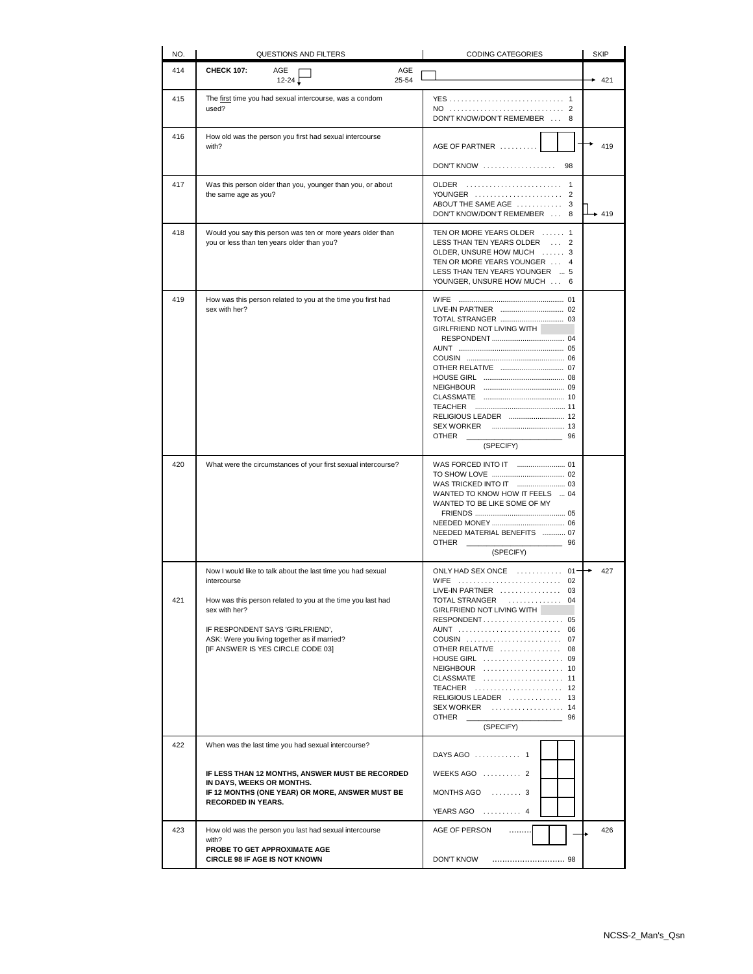| NO.        | QUESTIONS AND FILTERS                                                                                                                                                                                                                                                                                                                     | <b>CODING CATEGORIES</b>                                                                                                                                                                                                                                                                                                     | <b>SKIP</b> |
|------------|-------------------------------------------------------------------------------------------------------------------------------------------------------------------------------------------------------------------------------------------------------------------------------------------------------------------------------------------|------------------------------------------------------------------------------------------------------------------------------------------------------------------------------------------------------------------------------------------------------------------------------------------------------------------------------|-------------|
| 414        | <b>CHECK 107:</b><br>AGE<br>AGE<br>25-54<br>$12 - 24$                                                                                                                                                                                                                                                                                     |                                                                                                                                                                                                                                                                                                                              | 421         |
| 415        | The first time you had sexual intercourse, was a condom<br>used?                                                                                                                                                                                                                                                                          | YES  1<br>DON'T KNOW/DON'T REMEMBER  8                                                                                                                                                                                                                                                                                       |             |
| 416        | How old was the person you first had sexual intercourse<br>with?                                                                                                                                                                                                                                                                          | AGE OF PARTNER                                                                                                                                                                                                                                                                                                               | 419         |
|            |                                                                                                                                                                                                                                                                                                                                           | $DON'T$ KNOW $\ldots \ldots \ldots \ldots \ldots$<br>98                                                                                                                                                                                                                                                                      |             |
| 417        | Was this person older than you, younger than you, or about<br>the same age as you?                                                                                                                                                                                                                                                        | <b>OLDER</b><br>YOUNGER<br>$\overline{2}$<br>ABOUT THE SAME AGE  3<br>DON'T KNOW/DON'T REMEMBER  8                                                                                                                                                                                                                           | $+419$      |
| 418        | Would you say this person was ten or more years older than<br>you or less than ten years older than you?                                                                                                                                                                                                                                  | TEN OR MORE YEARS OLDER  1<br>LESS THAN TEN YEARS OLDER  2<br>OLDER, UNSURE HOW MUCH  3<br>TEN OR MORE YEARS YOUNGER  4<br>LESS THAN TEN YEARS YOUNGER  5<br>YOUNGER, UNSURE HOW MUCH  6                                                                                                                                     |             |
| 419        | How was this person related to you at the time you first had<br>sex with her?                                                                                                                                                                                                                                                             | GIRLFRIEND NOT LIVING WITH<br><b>OTHER</b><br>56 196<br>(SPECIFY)                                                                                                                                                                                                                                                            |             |
| 420        | What were the circumstances of your first sexual intercourse?                                                                                                                                                                                                                                                                             | WANTED TO KNOW HOW IT FEELS  04<br>WANTED TO BE LIKE SOME OF MY<br>NEEDED MATERIAL BENEFITS  07<br><b>OTHER</b><br>96<br>(SPECIFY)                                                                                                                                                                                           |             |
| 421<br>422 | Now I would like to talk about the last time you had sexual<br>intercourse<br>How was this person related to you at the time you last had<br>sex with her?<br>IF RESPONDENT SAYS 'GIRLFRIEND',<br>ASK: Were you living together as if married?<br>[IF ANSWER IS YES CIRCLE CODE 03]<br>When was the last time you had sexual intercourse? | ONLY HAD SEX ONCE<br>$01 -$<br>WIFE  02<br>LIVE-IN PARTNER  03<br>TOTAL STRANGER  04<br>GIRLFRIEND NOT LIVING WITH<br>RESPONDENT 05<br>AUNT  06<br>COUSIN  07<br>OTHER RELATIVE  08<br>HOUSE GIRL  09<br>NEIGHBOUR  10<br>CLASSMATE  11<br>TEACHER  12<br>RELIGIOUS LEADER  13<br>SEX WORKER  14<br>OTHER<br>96<br>(SPECIFY) | 427         |
|            | IF LESS THAN 12 MONTHS, ANSWER MUST BE RECORDED<br>IN DAYS, WEEKS OR MONTHS.<br>IF 12 MONTHS (ONE YEAR) OR MORE, ANSWER MUST BE<br><b>RECORDED IN YEARS.</b>                                                                                                                                                                              | DAYS AGO  1<br>WEEKS AGO  2<br>MONTHS AGO  3<br>YEARS AGO  4                                                                                                                                                                                                                                                                 |             |
| 423        | How old was the person you last had sexual intercourse<br>with?                                                                                                                                                                                                                                                                           | AGE OF PERSON<br>                                                                                                                                                                                                                                                                                                            | 426         |
|            | PROBE TO GET APPROXIMATE AGE<br><b>CIRCLE 98 IF AGE IS NOT KNOWN</b>                                                                                                                                                                                                                                                                      | <b>DON'T KNOW</b>                                                                                                                                                                                                                                                                                                            |             |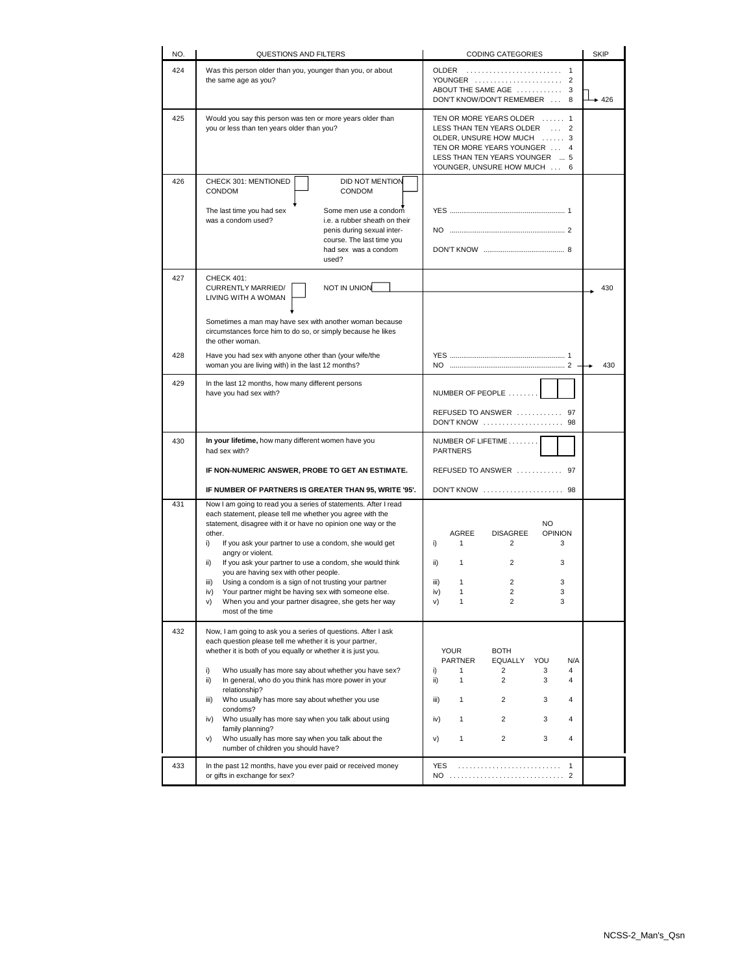| NO.        | <b>QUESTIONS AND FILTERS</b>                                                                                                                                                                                                                                                                                                                                                                                                                                                                                                                                                                                              | <b>CODING CATEGORIES</b>                                                                                                                                                                                           | <b>SKIP</b> |
|------------|---------------------------------------------------------------------------------------------------------------------------------------------------------------------------------------------------------------------------------------------------------------------------------------------------------------------------------------------------------------------------------------------------------------------------------------------------------------------------------------------------------------------------------------------------------------------------------------------------------------------------|--------------------------------------------------------------------------------------------------------------------------------------------------------------------------------------------------------------------|-------------|
| 424        | Was this person older than you, younger than you, or about<br>the same age as you?                                                                                                                                                                                                                                                                                                                                                                                                                                                                                                                                        | OLDER<br>YOUNGER  2<br>ABOUT THE SAME AGE<br>3<br>DON'T KNOW/DON'T REMEMBER  8                                                                                                                                     | $+426$      |
| 425        | Would you say this person was ten or more years older than<br>you or less than ten years older than you?                                                                                                                                                                                                                                                                                                                                                                                                                                                                                                                  | TEN OR MORE YEARS OLDER  1<br>LESS THAN TEN YEARS OLDER  2<br>OLDER, UNSURE HOW MUCH  3<br>TEN OR MORE YEARS YOUNGER  4<br>LESS THAN TEN YEARS YOUNGER  5<br>YOUNGER, UNSURE HOW MUCH  6                           |             |
| 426        | CHECK 301: MENTIONED<br>DID NOT MENTION<br>CONDOM<br><b>CONDOM</b><br>The last time you had sex<br>Some men use a condom<br>was a condom used?<br>i.e. a rubber sheath on their<br>penis during sexual inter-<br>course. The last time you<br>had sex was a condom<br>used?                                                                                                                                                                                                                                                                                                                                               |                                                                                                                                                                                                                    |             |
| 427<br>428 | <b>CHECK 401:</b><br>NOT IN UNION<br><b>CURRENTLY MARRIED/</b><br>LIVING WITH A WOMAN<br>Sometimes a man may have sex with another woman because<br>circumstances force him to do so, or simply because he likes<br>the other woman.<br>Have you had sex with anyone other than (your wife/the                                                                                                                                                                                                                                                                                                                            |                                                                                                                                                                                                                    | 430         |
|            | woman you are living with) in the last 12 months?                                                                                                                                                                                                                                                                                                                                                                                                                                                                                                                                                                         |                                                                                                                                                                                                                    | 430         |
| 429        | In the last 12 months, how many different persons<br>have you had sex with?                                                                                                                                                                                                                                                                                                                                                                                                                                                                                                                                               | NUMBER OF PEOPLE<br>REFUSED TO ANSWER  97<br>DON'T KNOW  98                                                                                                                                                        |             |
| 430        | In your lifetime, how many different women have you<br>had sex with?                                                                                                                                                                                                                                                                                                                                                                                                                                                                                                                                                      | NUMBER OF LIFETIME<br><b>PARTNERS</b>                                                                                                                                                                              |             |
|            | IF NON-NUMERIC ANSWER, PROBE TO GET AN ESTIMATE.                                                                                                                                                                                                                                                                                                                                                                                                                                                                                                                                                                          | REFUSED TO ANSWER  97                                                                                                                                                                                              |             |
|            | IF NUMBER OF PARTNERS IS GREATER THAN 95, WRITE '95'.                                                                                                                                                                                                                                                                                                                                                                                                                                                                                                                                                                     | DON'T KNOW  98                                                                                                                                                                                                     |             |
| 431        | Now I am going to read you a series of statements. After I read<br>each statement, please tell me whether you agree with the<br>statement, disagree with it or have no opinion one way or the<br>other.<br>i)<br>If you ask your partner to use a condom, she would get<br>angry or violent.<br>If you ask your partner to use a condom, she would think<br>ii)<br>you are having sex with other people.<br>Using a condom is a sign of not trusting your partner<br>iii)<br>Your partner might be having sex with someone else.<br>iv)<br>When you and your partner disagree, she gets her way<br>V)<br>most of the time | <b>NO</b><br>AGREE<br><b>DISAGREE</b><br><b>OPINION</b><br>i)<br>1<br>2<br>3<br>ii)<br>1<br>2<br>3<br>2<br>3<br>iii)<br>1<br>$\overline{c}$<br>$\mathbf{1}$<br>3<br>iv)<br>v)<br>1<br>2<br>3                       |             |
| 432        | Now, I am going to ask you a series of questions. After I ask<br>each question please tell me whether it is your partner,<br>whether it is both of you equally or whether it is just you.<br>Who usually has more say about whether you have sex?<br>i)<br>ii)<br>In general, who do you think has more power in your<br>relationship?<br>Who usually has more say about whether you use<br>iii)<br>condoms?<br>Who usually has more say when you talk about using<br>iv)<br>family planning?<br>Who usually has more say when you talk about the<br>v)<br>number of children you should have?                            | <b>YOUR</b><br><b>BOTH</b><br><b>EQUALLY</b><br>YOU<br>N/A<br><b>PARTNER</b><br>i)<br>1<br>2<br>3<br>4<br>ii)<br>1<br>2<br>3<br>4<br>1<br>2<br>3<br>iii)<br>4<br>3<br>iv)<br>1<br>2<br>4<br>1<br>2<br>3<br>4<br>V) |             |
| 433        | In the past 12 months, have you ever paid or received money<br>or gifts in exchange for sex?                                                                                                                                                                                                                                                                                                                                                                                                                                                                                                                              | $\mathbf{1}$<br>YES                                                                                                                                                                                                |             |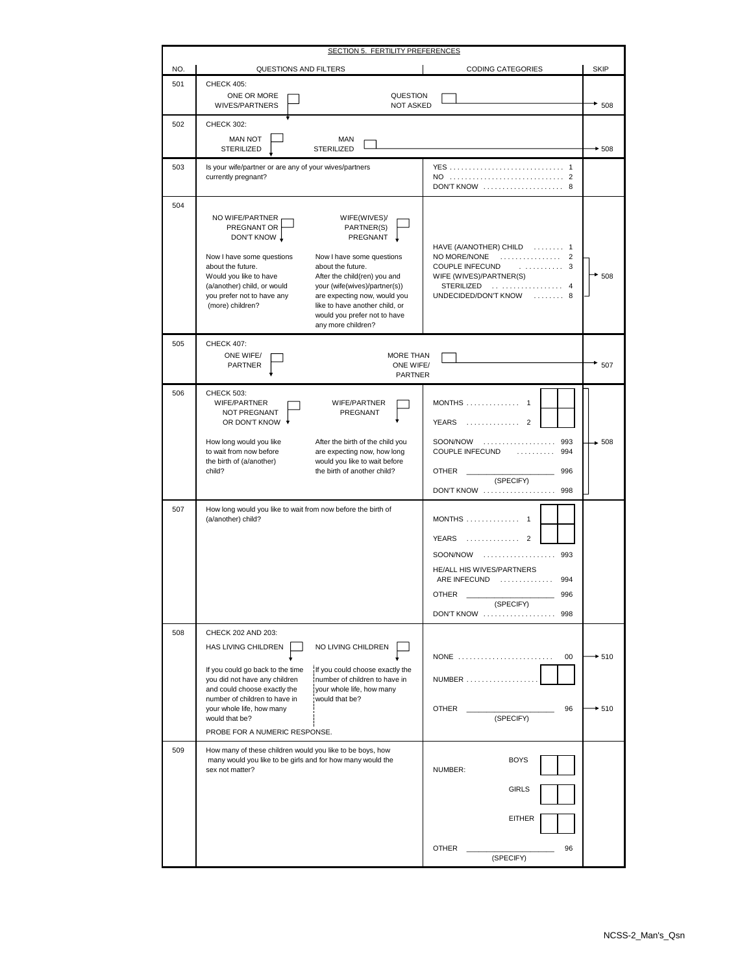|     | SECTION 5. FERTILITY PREFERENCES                                                                                                                                                                                                                                                                                                                                                                                                                                                                 |                                                                                                                                                                                        |                  |  |
|-----|--------------------------------------------------------------------------------------------------------------------------------------------------------------------------------------------------------------------------------------------------------------------------------------------------------------------------------------------------------------------------------------------------------------------------------------------------------------------------------------------------|----------------------------------------------------------------------------------------------------------------------------------------------------------------------------------------|------------------|--|
| NO. | QUESTIONS AND FILTERS                                                                                                                                                                                                                                                                                                                                                                                                                                                                            | <b>CODING CATEGORIES</b>                                                                                                                                                               | <b>SKIP</b>      |  |
| 501 | <b>CHECK 405:</b><br>ONE OR MORE<br>QUESTION<br>WIVES/PARTNERS<br><b>NOT ASKED</b>                                                                                                                                                                                                                                                                                                                                                                                                               |                                                                                                                                                                                        | 508              |  |
| 502 | <b>CHECK 302:</b>                                                                                                                                                                                                                                                                                                                                                                                                                                                                                |                                                                                                                                                                                        |                  |  |
|     | <b>MAN NOT</b><br>MAN<br><b>STERILIZED</b><br>STERILIZED                                                                                                                                                                                                                                                                                                                                                                                                                                         |                                                                                                                                                                                        | $+508$           |  |
| 503 | Is your wife/partner or are any of your wives/partners<br>currently pregnant?                                                                                                                                                                                                                                                                                                                                                                                                                    | DON'T KNOW  8                                                                                                                                                                          |                  |  |
| 504 | NO WIFE/PARTNER<br>WIFE(WIVES)/<br>PREGNANT OR<br>PARTNER(S)<br>DON'T KNOW \<br>PREGNANT<br>Now I have some questions<br>Now I have some questions<br>about the future.<br>about the future.<br>Would you like to have<br>After the child(ren) you and<br>(a/another) child, or would<br>your (wife(wives)/partner(s))<br>you prefer not to have any<br>are expecting now, would you<br>(more) children?<br>like to have another child, or<br>would you prefer not to have<br>any more children? | HAVE (A/ANOTHER) CHILD  1<br>NO MORE/NONE<br>.<br>$\overline{2}$<br>COUPLE INFECUND<br>. 3<br>WIFE (WIVES)/PARTNER(S)<br>STERILIZED  4<br>.<br>UNDECIDED/DON'T KNOW<br>8               | $*_{508}$        |  |
| 505 | <b>CHECK 407:</b><br>ONE WIFE/<br>MORE THAN<br><b>PARTNER</b><br>ONE WIFE/<br>PARTNER                                                                                                                                                                                                                                                                                                                                                                                                            |                                                                                                                                                                                        | 507              |  |
| 506 | <b>CHECK 503:</b><br>WIFE/PARTNER<br>WIFE/PARTNER<br>NOT PREGNANT<br>PREGNANT<br>OR DON'T KNOW<br>How long would you like<br>After the birth of the child you<br>to wait from now before<br>are expecting now, how long<br>the birth of (a/another)<br>would you like to wait before<br>child?<br>the birth of another child?                                                                                                                                                                    | $MONTHS$ 1<br>. 2<br>YEARS<br>SOON/NOW<br>993<br>.<br>COUPLE INFECUND<br>994<br>.<br>996<br><b>OTHER</b><br>(SPECIFY)<br>DON'T KNOW<br>998                                             | $-508$           |  |
| 507 | How long would you like to wait from now before the birth of<br>(a/another) child?                                                                                                                                                                                                                                                                                                                                                                                                               | MONTHS  1<br><b>YEARS</b><br>.<br>$\mathcal{P}$<br>SOON/NOW<br>. 993<br>HE/ALL HIS WIVES/PARTNERS<br>ARE INFECUND<br>.<br>994<br>996<br><b>OTHER</b><br>(SPECIFY)<br>DON'T KNOW<br>998 |                  |  |
| 508 | CHECK 202 AND 203:<br>NO LIVING CHILDREN<br>HAS LIVING CHILDREN<br>If you could go back to the time<br>If you could choose exactly the<br>number of children to have in<br>you did not have any children<br>and could choose exactly the<br>your whole life, how many<br>would that be?<br>number of children to have in<br>your whole life, how many<br>would that be?<br>PROBE FOR A NUMERIC RESPONSE.                                                                                         | NONE<br>00<br>NUMBER<br><b>OTHER</b><br>96<br>(SPECIFY)                                                                                                                                | $*510$<br>$-510$ |  |
| 509 | How many of these children would you like to be boys, how<br>many would you like to be girls and for how many would the<br>sex not matter?                                                                                                                                                                                                                                                                                                                                                       | <b>BOYS</b><br>NUMBER:<br><b>GIRLS</b><br><b>EITHER</b><br><b>OTHER</b><br>96<br>(SPECIFY)                                                                                             |                  |  |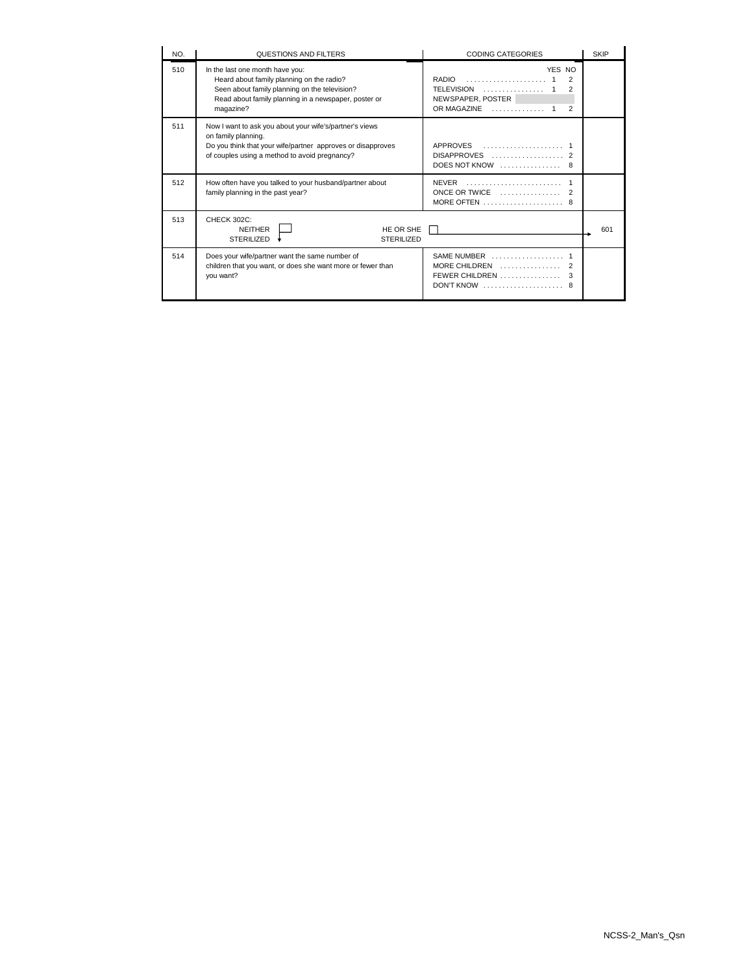| NO. | QUESTIONS AND FILTERS                                                                                                                                                                              | <b>CODING CATEGORIES</b>                                                                           | <b>SKIP</b> |
|-----|----------------------------------------------------------------------------------------------------------------------------------------------------------------------------------------------------|----------------------------------------------------------------------------------------------------|-------------|
| 510 | In the last one month have you:<br>Heard about family planning on the radio?<br>Seen about family planning on the television?<br>Read about family planning in a newspaper, poster or<br>magazine? | YES NO<br>RADIO<br>$\mathcal{P}$<br>TELEVISION<br>2<br>NEWSPAPER, POSTER<br>OR MAGAZINE<br>2       |             |
| 511 | Now I want to ask you about your wife's/partner's views<br>on family planning.<br>Do you think that your wife/partner approves or disapproves<br>of couples using a method to avoid pregnancy?     | APPROVES<br>DOES NOT KNOW $\ldots$                                                                 |             |
| 512 | How often have you talked to your husband/partner about<br>family planning in the past year?                                                                                                       | ONCE OR TWICE $\ldots, \ldots, \ldots, \ldots$                                                     |             |
| 513 | CHECK 302C:<br><b>NEITHER</b><br>HE OR SHE<br><b>STERILIZED</b><br><b>STERILIZED</b>                                                                                                               |                                                                                                    | 601         |
| 514 | Does your wife/partner want the same number of<br>children that you want, or does she want more or fewer than<br>vou want?                                                                         | SAME NUMBER<br>MORE CHILDREN<br>FEWER CHILDREN<br>$DONT$ KNOW $\ldots \ldots \ldots \ldots \ldots$ |             |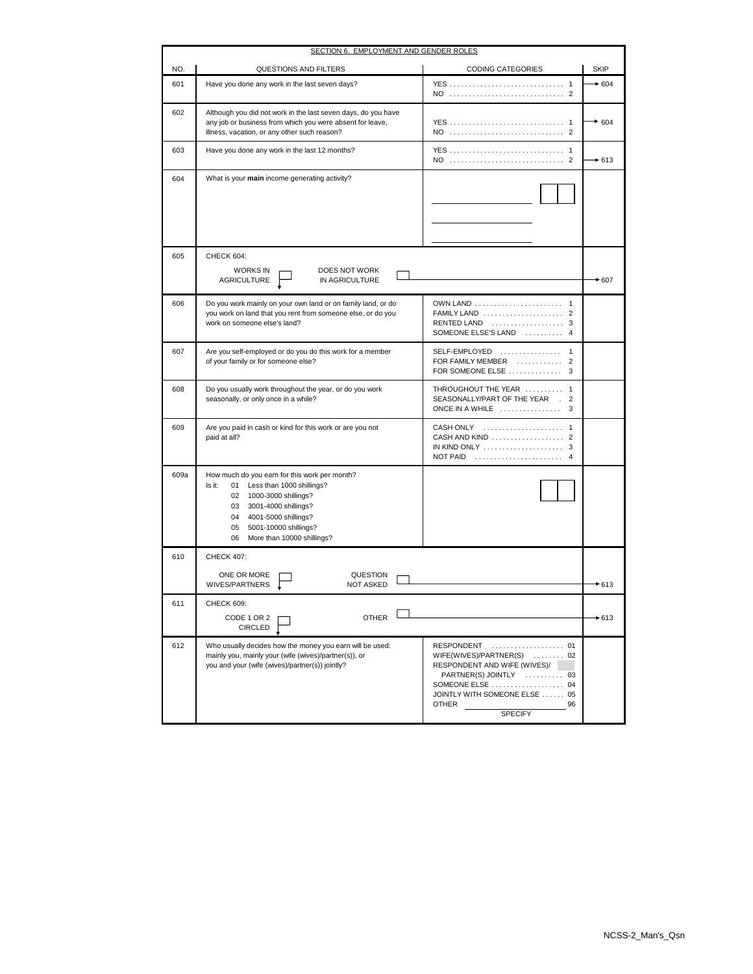| <b>SECTION 6. EMPLOYMENT AND GENDER ROLES</b> |                                                                                                                                                                                                                                                         |                                                                                                                                                                                                     |             |
|-----------------------------------------------|---------------------------------------------------------------------------------------------------------------------------------------------------------------------------------------------------------------------------------------------------------|-----------------------------------------------------------------------------------------------------------------------------------------------------------------------------------------------------|-------------|
| NO.                                           | QUESTIONS AND FILTERS                                                                                                                                                                                                                                   | <b>CODING CATEGORIES</b>                                                                                                                                                                            | <b>SKIP</b> |
| 601                                           | Have you done any work in the last seven days?                                                                                                                                                                                                          |                                                                                                                                                                                                     | $+604$      |
| 602                                           | Although you did not work in the last seven days, do you have<br>any job or business from which you were absent for leave,<br>illness, vacation, or any other such reason?                                                                              |                                                                                                                                                                                                     | $*604$      |
| 603                                           | Have you done any work in the last 12 months?                                                                                                                                                                                                           | YES<br>$\overline{1}$                                                                                                                                                                               | $+613$      |
| 604                                           | What is your main income generating activity?                                                                                                                                                                                                           |                                                                                                                                                                                                     |             |
| 605                                           | CHECK 604:<br><b>WORKS IN</b><br>DOES NOT WORK<br><b>AGRICULTURE</b><br>IN AGRICULTURE                                                                                                                                                                  |                                                                                                                                                                                                     | $*607$      |
| 606                                           | Do you work mainly on your own land or on family land, or do<br>you work on land that you rent from someone else, or do you<br>work on someone else's land?                                                                                             | FAMILY LAND  2<br>RENTED LAND  3<br>SOMEONE ELSE'S LAND  4                                                                                                                                          |             |
| 607                                           | Are you self-employed or do you do this work for a member<br>of your family or for someone else?                                                                                                                                                        | SELF-EMPLOYED  1<br>FOR FAMILY MEMBER<br>$\overline{2}$                                                                                                                                             |             |
| 608                                           | Do you usually work throughout the year, or do you work<br>seasonally, or only once in a while?                                                                                                                                                         | THROUGHOUT THE YEAR  1<br>SEASONALLY/PART OF THE YEAR . 2<br>ONCE IN A WHILE $\ldots \ldots \ldots \ldots$<br>3                                                                                     |             |
| 609                                           | Are you paid in cash or kind for this work or are you not<br>paid at all?                                                                                                                                                                               | <b>CASH ONLY</b><br><b>NOT PAID</b>                                                                                                                                                                 |             |
| 609a                                          | How much do you earn for this work per month?<br>Less than 1000 shillings?<br>ls it:<br>01<br>1000-3000 shillings?<br>02<br>03<br>3001-4000 shillings?<br>04<br>4001-5000 shillings?<br>05<br>5001-10000 shillings?<br>06<br>More than 10000 shillings? |                                                                                                                                                                                                     |             |
| 610                                           | <b>CHECK 407:</b>                                                                                                                                                                                                                                       |                                                                                                                                                                                                     |             |
|                                               | ONE OR MORE<br>QUESTION<br>WIVES/PARTNERS<br><b>NOT ASKED</b>                                                                                                                                                                                           |                                                                                                                                                                                                     | $*613$      |
| 611                                           | <b>CHECK 609:</b><br>OTHER<br>CODE 1 OR 2<br><b>CIRCLED</b>                                                                                                                                                                                             |                                                                                                                                                                                                     | $+613$      |
| 612                                           | Who usually decides how the money you earn will be used:<br>mainly you, mainly your (wife (wives)/partner(s)), or<br>you and your (wife (wives)/partner(s)) jointly?                                                                                    | RESPONDENT  01<br>WIFE(WIVES)/PARTNER(S)  02<br>RESPONDENT AND WIFE (WIVES)/<br>PARTNER(S) JOINTLY  03<br>SOMEONE ELSE  04<br>JOINTLY WITH SOMEONE ELSE  05<br><b>OTHER</b><br>96<br><b>SPECIFY</b> |             |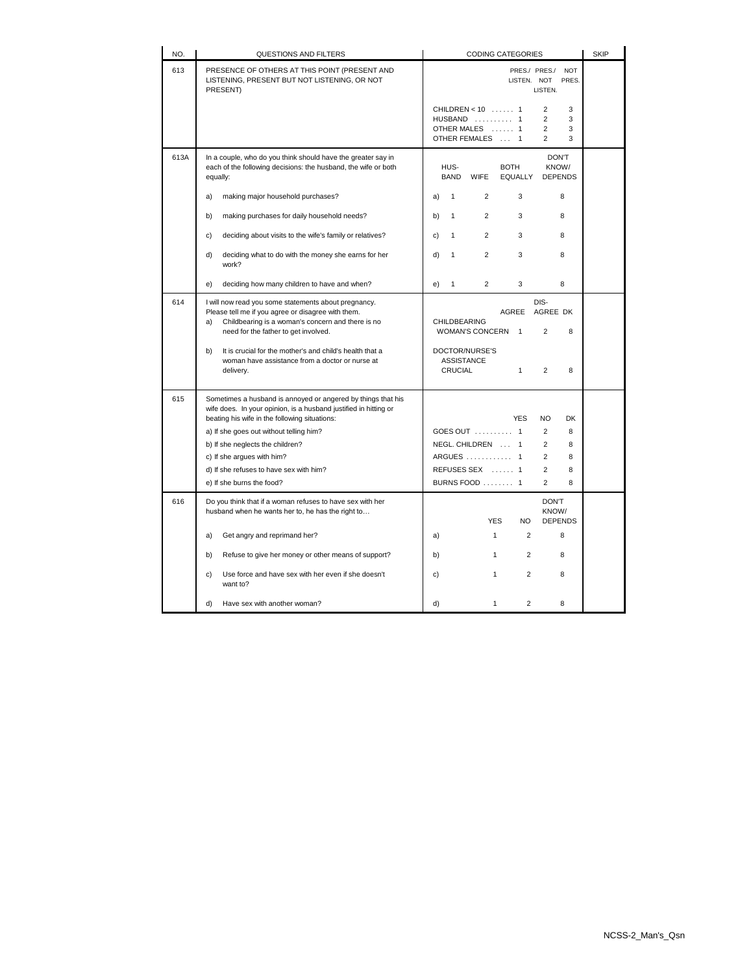| NO.  | QUESTIONS AND FILTERS                                                                                                                                                                                                                                                                                                                                                  | <b>CODING CATEGORIES</b>                                                                                                                                                                                                                    | <b>SKIP</b> |
|------|------------------------------------------------------------------------------------------------------------------------------------------------------------------------------------------------------------------------------------------------------------------------------------------------------------------------------------------------------------------------|---------------------------------------------------------------------------------------------------------------------------------------------------------------------------------------------------------------------------------------------|-------------|
| 613  | PRESENCE OF OTHERS AT THIS POINT (PRESENT AND<br>LISTENING, PRESENT BUT NOT LISTENING, OR NOT<br>PRESENT)                                                                                                                                                                                                                                                              | PRES./ PRES./ NOT<br>LISTEN. NOT<br>PRES.<br>LISTEN.                                                                                                                                                                                        |             |
|      |                                                                                                                                                                                                                                                                                                                                                                        | CHILDREN < 10  1<br>$\overline{2}$<br>3<br>HUSBAND  1<br>$\overline{2}$<br>3<br>OTHER MALES  1<br>2<br>3<br>OTHER FEMALES  1<br>$\overline{2}$<br>3                                                                                         |             |
| 613A | In a couple, who do you think should have the greater say in<br>each of the following decisions: the husband, the wife or both<br>equally:                                                                                                                                                                                                                             | <b>DON'T</b><br>HUS-<br><b>BOTH</b><br>KNOW/<br><b>BAND</b><br>EQUALLY<br><b>WIFE</b><br><b>DEPENDS</b>                                                                                                                                     |             |
|      | a)<br>making major household purchases?                                                                                                                                                                                                                                                                                                                                | $\overline{2}$<br>1<br>3<br>8<br>a)                                                                                                                                                                                                         |             |
|      | making purchases for daily household needs?<br>b)                                                                                                                                                                                                                                                                                                                      | $\mathbf{1}$<br>2<br>3<br>8<br>b)                                                                                                                                                                                                           |             |
|      | deciding about visits to the wife's family or relatives?<br>c)                                                                                                                                                                                                                                                                                                         | $\overline{2}$<br>3<br>$\mathbf{1}$<br>8<br>c)                                                                                                                                                                                              |             |
|      | deciding what to do with the money she earns for her<br>d)<br>work?                                                                                                                                                                                                                                                                                                    | $\overline{2}$<br>8<br>d)<br>1<br>3                                                                                                                                                                                                         |             |
|      | deciding how many children to have and when?<br>e)                                                                                                                                                                                                                                                                                                                     | $\overline{2}$<br>3<br>8<br>$\mathbf{1}$<br>e)                                                                                                                                                                                              |             |
| 614  | I will now read you some statements about pregnancy.<br>Please tell me if you agree or disagree with them.<br>Childbearing is a woman's concern and there is no<br>a)<br>need for the father to get involved.                                                                                                                                                          | DIS-<br>AGREE<br>AGREE DK<br>CHILDBEARING<br>WOMAN'S CONCERN 1<br>2<br>8                                                                                                                                                                    |             |
|      | It is crucial for the mother's and child's health that a<br>b)<br>woman have assistance from a doctor or nurse at<br>delivery.                                                                                                                                                                                                                                         | DOCTOR/NURSE'S<br><b>ASSISTANCE</b><br>CRUCIAL<br>$\mathbf{1}$<br>$\overline{2}$<br>8                                                                                                                                                       |             |
| 615  | Sometimes a husband is annoyed or angered by things that his<br>wife does. In your opinion, is a husband justified in hitting or<br>beating his wife in the following situations:<br>a) If she goes out without telling him?<br>b) If she neglects the children?<br>c) If she argues with him?<br>d) If she refuses to have sex with him?<br>e) If she burns the food? | <b>YES</b><br><b>NO</b><br><b>DK</b><br>GOES OUT  1<br>$\overline{2}$<br>8<br>NEGL. CHILDREN  1<br>$\overline{2}$<br>8<br>ARGUES  1<br>$\overline{2}$<br>8<br>REFUSES SEX  1<br>$\overline{2}$<br>8<br>BURNS FOOD  1<br>$\overline{2}$<br>8 |             |
| 616  | Do you think that if a woman refuses to have sex with her<br>husband when he wants her to, he has the right to                                                                                                                                                                                                                                                         | <b>DON'T</b><br>KNOW/<br><b>YES</b><br><b>DEPENDS</b><br>NO.                                                                                                                                                                                |             |
|      | Get angry and reprimand her?<br>a)                                                                                                                                                                                                                                                                                                                                     | $\mathbf{1}$<br>$\overline{2}$<br>8<br>a)                                                                                                                                                                                                   |             |
|      | Refuse to give her money or other means of support?<br>b)                                                                                                                                                                                                                                                                                                              | $\overline{2}$<br>b)<br>$\mathbf{1}$<br>8                                                                                                                                                                                                   |             |
|      | Use force and have sex with her even if she doesn't<br>c)<br>want to?                                                                                                                                                                                                                                                                                                  | $\overline{2}$<br>8<br>c)<br>$\mathbf{1}$                                                                                                                                                                                                   |             |
|      | d)<br>Have sex with another woman?                                                                                                                                                                                                                                                                                                                                     | $\overline{2}$<br>8<br>d)<br>$\mathbf{1}$                                                                                                                                                                                                   |             |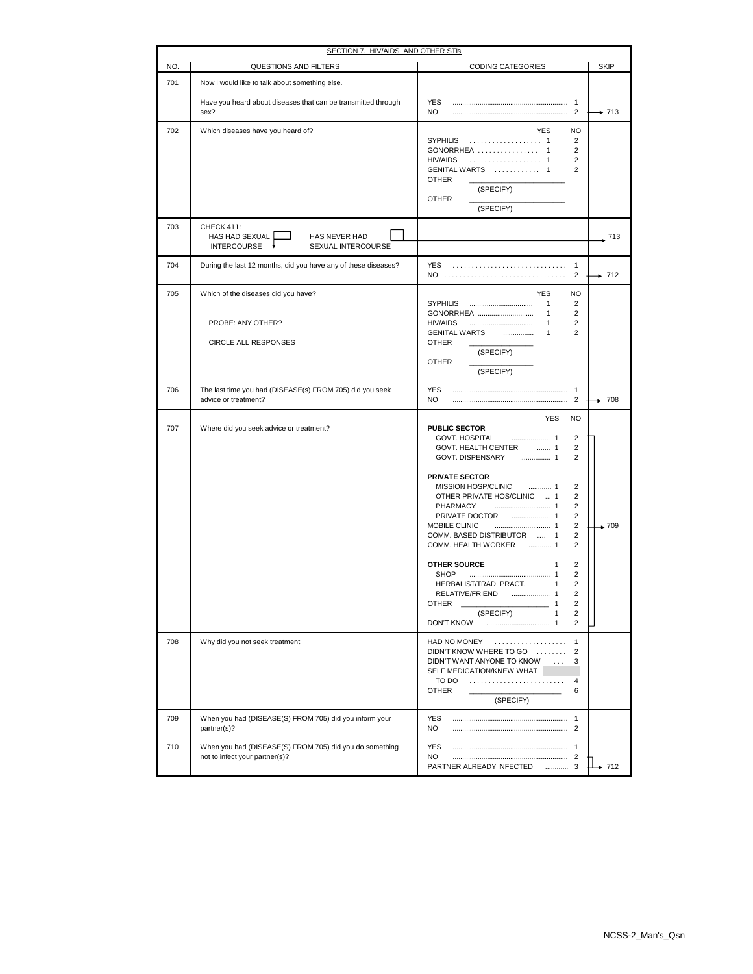|            | SECTION 7. HIV/AIDS AND OTHER STIS                                                        |                                                                                                                                                                                                                                                                                                                                                                                                                                                                                                                                                                                                                                              |             |
|------------|-------------------------------------------------------------------------------------------|----------------------------------------------------------------------------------------------------------------------------------------------------------------------------------------------------------------------------------------------------------------------------------------------------------------------------------------------------------------------------------------------------------------------------------------------------------------------------------------------------------------------------------------------------------------------------------------------------------------------------------------------|-------------|
| NO.        | QUESTIONS AND FILTERS                                                                     | <b>CODING CATEGORIES</b>                                                                                                                                                                                                                                                                                                                                                                                                                                                                                                                                                                                                                     | <b>SKIP</b> |
| 701        | Now I would like to talk about something else.                                            |                                                                                                                                                                                                                                                                                                                                                                                                                                                                                                                                                                                                                                              |             |
|            | Have you heard about diseases that can be transmitted through<br>sex?                     | <b>YES</b><br>NO.                                                                                                                                                                                                                                                                                                                                                                                                                                                                                                                                                                                                                            | $+ 713$     |
| 702        | Which diseases have you heard of?                                                         | <b>YES</b><br><b>NO</b><br>SYPHILIS  1<br>2<br>GONORRHEA  1<br>2<br>HIV/AIDS  1<br>$\overline{2}$<br>GENITAL WARTS  1<br>$\overline{2}$<br><b>OTHER</b><br>(SPECIFY)<br>OTHER<br>(SPECIFY)                                                                                                                                                                                                                                                                                                                                                                                                                                                   |             |
| 703        | CHECK 411:<br>HAS HAD SEXUAL<br>HAS NEVER HAD<br><b>INTERCOURSE</b><br>SEXUAL INTERCOURSE |                                                                                                                                                                                                                                                                                                                                                                                                                                                                                                                                                                                                                                              | . 713       |
| 704        | During the last 12 months, did you have any of these diseases?                            | YES.<br>NO<br>2                                                                                                                                                                                                                                                                                                                                                                                                                                                                                                                                                                                                                              | $\div$ 712  |
| 705        | Which of the diseases did you have?<br>PROBE: ANY OTHER?<br><b>CIRCLE ALL RESPONSES</b>   | <b>YES</b><br>NO.<br>$\mathbf{1}$<br>2<br>GONORRHEA<br>$\mathbf{1}$<br>2<br>$\overline{2}$<br><b>HIV/AIDS</b><br>$\mathbf{1}$<br>$\overline{2}$<br>GENITAL WARTS<br>$\mathbf{1}$<br>OTHER<br>(SPECIFY)<br><b>OTHER</b><br>(SPECIFY)                                                                                                                                                                                                                                                                                                                                                                                                          |             |
| 706        | The last time you had (DISEASE(s) FROM 705) did you seek<br>advice or treatment?          | <b>YES</b><br>NO.                                                                                                                                                                                                                                                                                                                                                                                                                                                                                                                                                                                                                            | $+ 708$     |
| 707<br>708 | Where did you seek advice or treatment?<br>Why did you not seek treatment                 | <b>YES</b><br><b>NO</b><br>PUBLIC SECTOR<br>GOVT. HOSPITAL<br>2<br>GOVT. HEALTH CENTER  1<br>$\overline{2}$<br>GOVT. DISPENSARY<br>. 1<br>2<br><b>PRIVATE SECTOR</b><br>MISSION HOSP/CLINIC<br>2<br>OTHER PRIVATE HOS/CLINIC  1<br>2<br>2<br>PHARMACY<br>$\overline{2}$<br>MOBILE CLINIC<br>2<br>$\overline{2}$<br>COMM. BASED DISTRIBUTOR  1<br>COMM. HEALTH WORKER  1<br>2<br><b>OTHER SOURCE</b><br>2<br>1<br>2<br>SHOP<br>HERBALIST/TRAD. PRACT.<br>2<br>$\mathbf{1}$<br>2<br>RELATIVE/FRIEND<br>2<br>OTHER<br>1<br>(SPECIFY)<br>2<br>1<br><b>DON'T KNOW</b><br>$\overline{2}$<br>1<br>HAD NO MONEY<br>.<br>DIDN'T KNOW WHERE TO GO<br>2 | $+709$      |
|            |                                                                                           | DIDN'T WANT ANYONE TO KNOW<br>3<br>$\mathbb{R}^2$<br>SELF MEDICATION/KNEW WHAT<br>TO DO<br>4<br><b>OTHER</b><br>6<br>(SPECIFY)                                                                                                                                                                                                                                                                                                                                                                                                                                                                                                               |             |
| 709        | When you had (DISEASE(S) FROM 705) did you inform your<br>partner(s)?                     | <b>YES</b><br>NO                                                                                                                                                                                                                                                                                                                                                                                                                                                                                                                                                                                                                             |             |
| 710        | When you had (DISEASE(S) FROM 705) did you do something<br>not to infect your partner(s)? | <b>YES</b><br>NO.<br>PARTNER ALREADY INFECTED  3                                                                                                                                                                                                                                                                                                                                                                                                                                                                                                                                                                                             | $+ 712$     |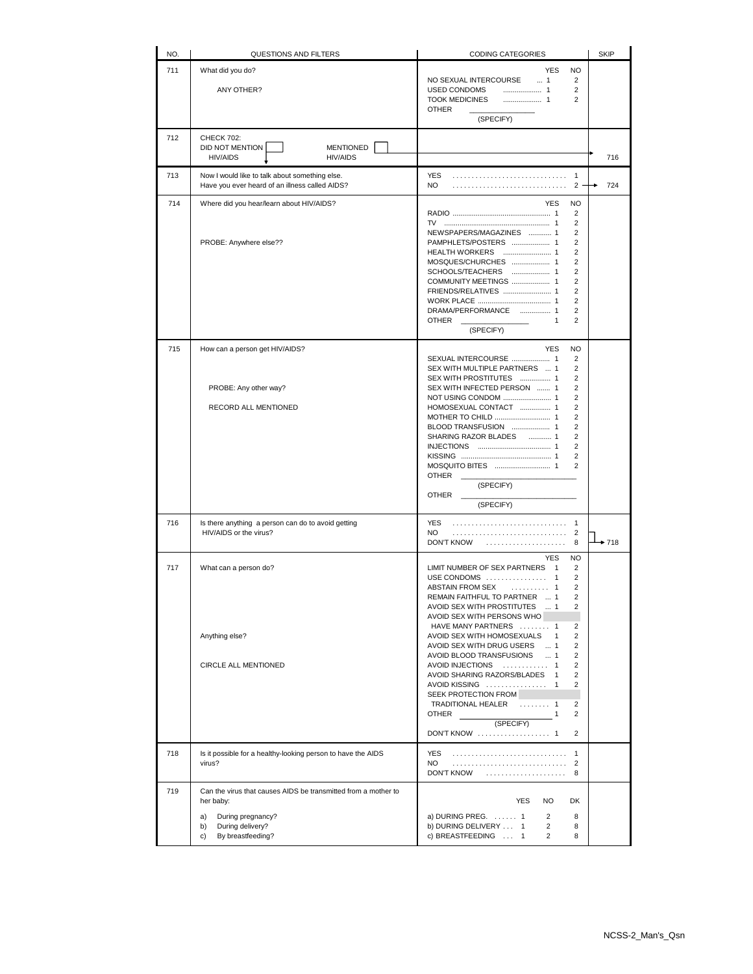| NO. | QUESTIONS AND FILTERS                                                                            | <b>CODING CATEGORIES</b>                                                                          | <b>SKIP</b> |
|-----|--------------------------------------------------------------------------------------------------|---------------------------------------------------------------------------------------------------|-------------|
| 711 | What did you do?                                                                                 | <b>YES</b><br>NO                                                                                  |             |
|     |                                                                                                  | NO SEXUAL INTERCOURSE<br>1<br>$\overline{2}$                                                      |             |
|     | ANY OTHER?                                                                                       | USED CONDOMS<br>2<br><b>TOOK MEDICINES</b><br>$\overline{2}$                                      |             |
|     |                                                                                                  | <b>OTHER</b>                                                                                      |             |
|     |                                                                                                  | (SPECIFY)                                                                                         |             |
| 712 | <b>CHECK 702:</b>                                                                                |                                                                                                   |             |
|     | DID NOT MENTION<br><b>MENTIONED</b><br><b>HIV/AIDS</b><br><b>HIV/AIDS</b>                        |                                                                                                   | 716         |
|     |                                                                                                  |                                                                                                   |             |
| 713 | Now I would like to talk about something else.<br>Have you ever heard of an illness called AIDS? | <b>YES</b><br>NO.<br>$2 -$                                                                        | 724         |
|     |                                                                                                  |                                                                                                   |             |
| 714 | Where did you hear/learn about HIV/AIDS?                                                         | <b>YES</b><br>NO.<br>2                                                                            |             |
|     |                                                                                                  | $\overline{2}$                                                                                    |             |
|     |                                                                                                  | NEWSPAPERS/MAGAZINES  1<br>$\overline{2}$<br>PAMPHLETS/POSTERS  1<br>$\overline{2}$               |             |
|     | PROBE: Anywhere else??                                                                           | $\overline{2}$                                                                                    |             |
|     |                                                                                                  | MOSQUES/CHURCHES  1<br>$\overline{2}$                                                             |             |
|     |                                                                                                  | SCHOOLS/TEACHERS  1<br>$\overline{2}$                                                             |             |
|     |                                                                                                  | COMMUNITY MEETINGS  1<br>$\overline{2}$<br>FRIENDS/RELATIVES  1<br>$\overline{2}$                 |             |
|     |                                                                                                  | $\overline{2}$                                                                                    |             |
|     |                                                                                                  | DRAMA/PERFORMANCE  1<br>$\overline{2}$                                                            |             |
|     |                                                                                                  | $\overline{2}$<br><b>OTHER</b><br>$\mathbf{1}$<br>(SPECIFY)                                       |             |
|     |                                                                                                  |                                                                                                   |             |
| 715 | How can a person get HIV/AIDS?                                                                   | <b>YES</b><br>NO<br>SEXUAL INTERCOURSE  1<br>2                                                    |             |
|     |                                                                                                  | SEX WITH MULTIPLE PARTNERS  1<br>2                                                                |             |
|     |                                                                                                  | $\overline{2}$<br>SEX WITH PROSTITUTES  1                                                         |             |
|     | PROBE: Any other way?                                                                            | SEX WITH INFECTED PERSON  1<br>$\overline{2}$<br>NOT USING CONDOM  1<br>$\overline{2}$            |             |
|     | RECORD ALL MENTIONED                                                                             | HOMOSEXUAL CONTACT  1<br>$\overline{2}$                                                           |             |
|     |                                                                                                  | $\overline{2}$                                                                                    |             |
|     |                                                                                                  | BLOOD TRANSFUSION  1<br>$\overline{2}$                                                            |             |
|     |                                                                                                  | SHARING RAZOR BLADES  1<br>$\overline{2}$<br>$\overline{\mathbf{c}}$                              |             |
|     |                                                                                                  | $\overline{2}$                                                                                    |             |
|     |                                                                                                  | $\overline{2}$                                                                                    |             |
|     |                                                                                                  | <b>OTHER</b><br>(SPECIFY)                                                                         |             |
|     |                                                                                                  | <b>OTHER</b>                                                                                      |             |
|     |                                                                                                  | (SPECIFY)                                                                                         |             |
| 716 | Is there anything a person can do to avoid getting<br>HIV/AIDS or the virus?                     | <b>YES</b><br>$\overline{1}$<br>$\overline{2}$<br>NO.                                             |             |
|     |                                                                                                  | <b>DON'T KNOW</b><br>8                                                                            | ▶ 718       |
|     |                                                                                                  | <b>YES</b><br><b>NO</b>                                                                           |             |
| 717 | What can a person do?                                                                            | LIMIT NUMBER OF SEX PARTNERS 1<br>2                                                               |             |
|     |                                                                                                  | 2                                                                                                 |             |
|     |                                                                                                  | ABSTAIN FROM SEX<br>. 1<br>2<br>REMAIN FAITHFUL TO PARTNER  1<br>っ                                |             |
|     |                                                                                                  | $\overline{2}$<br>AVOID SEX WITH PROSTITUTES  1                                                   |             |
|     |                                                                                                  | AVOID SEX WITH PERSONS WHO                                                                        |             |
|     | Anything else?                                                                                   | HAVE MANY PARTNERS  1<br>2<br>$\overline{2}$<br>AVOID SEX WITH HOMOSEXUALS<br>$\overline{1}$      |             |
|     |                                                                                                  | $\overline{\mathbf{c}}$<br>AVOID SEX WITH DRUG USERS  1                                           |             |
|     |                                                                                                  | AVOID BLOOD TRANSFUSIONS  1<br>$\overline{2}$                                                     |             |
|     | CIRCLE ALL MENTIONED                                                                             | AVOID INJECTIONS  1<br>$\overline{2}$<br>AVOID SHARING RAZORS/BLADES 1<br>$\overline{\mathbf{c}}$ |             |
|     |                                                                                                  | AVOID KISSING  1<br>2                                                                             |             |
|     |                                                                                                  | SEEK PROTECTION FROM                                                                              |             |
|     |                                                                                                  | TRADITIONAL HEALER  1<br>$\overline{2}$<br>$\overline{2}$<br><b>OTHER</b><br>$\overline{1}$       |             |
|     |                                                                                                  | (SPECIFY)                                                                                         |             |
|     |                                                                                                  | DON'T KNOW  1<br>2                                                                                |             |
| 718 | Is it possible for a healthy-looking person to have the AIDS                                     | <b>YES</b><br>1                                                                                   |             |
|     | virus?                                                                                           | NO.<br>$\overline{2}$                                                                             |             |
|     |                                                                                                  | 8<br>DON'T KNOW                                                                                   |             |
| 719 | Can the virus that causes AIDS be transmitted from a mother to                                   |                                                                                                   |             |
|     | her baby:                                                                                        | <b>YES</b><br>NO.<br>DK                                                                           |             |
|     | During pregnancy?<br>a)                                                                          | a) DURING PREG. $\dots$ 1<br>2<br>8                                                               |             |
|     | During delivery?<br>b)<br>By breastfeeding?<br>c)                                                | $\overline{2}$<br>b) DURING DELIVERY  1<br>8<br>c) BREASTFEEDING  1<br>$\overline{2}$<br>8        |             |
|     |                                                                                                  |                                                                                                   |             |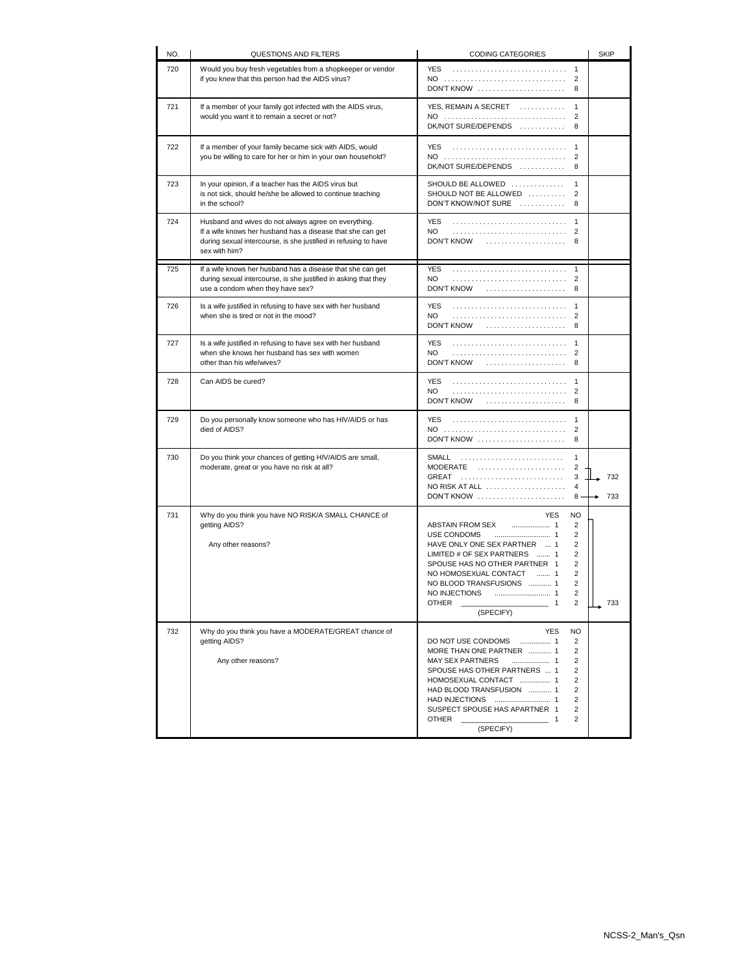| NO. | QUESTIONS AND FILTERS                                                                                                                                                                                  | <b>CODING CATEGORIES</b>                                                                                                                                                                                                                                                                                                                                                  | <b>SKIP</b> |
|-----|--------------------------------------------------------------------------------------------------------------------------------------------------------------------------------------------------------|---------------------------------------------------------------------------------------------------------------------------------------------------------------------------------------------------------------------------------------------------------------------------------------------------------------------------------------------------------------------------|-------------|
| 720 | Would you buy fresh vegetables from a shopkeeper or vendor<br>if you knew that this person had the AIDS virus?                                                                                         | YES<br>1<br>NO<br>2<br>DON'T KNOW<br>8                                                                                                                                                                                                                                                                                                                                    |             |
| 721 | If a member of your family got infected with the AIDS virus,<br>would you want it to remain a secret or not?                                                                                           | $\mathbf{1}$<br>YES, REMAIN A SECRET<br>NO<br>2<br>DK/NOT SURE/DEPENDS<br>8                                                                                                                                                                                                                                                                                               |             |
| 722 | If a member of your family became sick with AIDS, would<br>you be willing to care for her or him in your own household?                                                                                | <b>YES</b><br>1<br>NO<br>$\overline{2}$<br>DK/NOT SURE/DEPENDS<br>8                                                                                                                                                                                                                                                                                                       |             |
| 723 | In your opinion, if a teacher has the AIDS virus but<br>is not sick, should he/she be allowed to continue teaching<br>in the school?                                                                   | SHOULD BE ALLOWED<br>1<br>SHOULD NOT BE ALLOWED<br>$\overline{2}$<br>DON'T KNOW/NOT SURE<br>8                                                                                                                                                                                                                                                                             |             |
| 724 | Husband and wives do not always agree on everything.<br>If a wife knows her husband has a disease that she can get<br>during sexual intercourse, is she justified in refusing to have<br>sex with him? | YES<br>NO.<br>$\overline{2}$<br>DON'T KNOW<br>8                                                                                                                                                                                                                                                                                                                           |             |
| 725 | If a wife knows her husband has a disease that she can get<br>during sexual intercourse, is she justified in asking that they<br>use a condom when they have sex?                                      | YES<br>1<br>NO.<br>$\overline{2}$<br>DON'T KNOW<br>8                                                                                                                                                                                                                                                                                                                      |             |
| 726 | Is a wife justified in refusing to have sex with her husband<br>when she is tired or not in the mood?                                                                                                  | <b>YES</b><br>$\overline{1}$<br>NO.<br>$\overline{2}$<br>DON'T KNOW<br>8                                                                                                                                                                                                                                                                                                  |             |
| 727 | Is a wife justified in refusing to have sex with her husband<br>when she knows her husband has sex with women<br>other than his wife/wives?                                                            | <b>YES</b><br>$\overline{1}$<br>NO.<br>$\overline{2}$<br>DON'T KNOW<br>8                                                                                                                                                                                                                                                                                                  |             |
| 728 | Can AIDS be cured?                                                                                                                                                                                     | <b>YES</b><br>1<br>NO.<br>$\overline{2}$<br>DON'T KNOW<br>8                                                                                                                                                                                                                                                                                                               |             |
| 729 | Do you personally know someone who has HIV/AIDS or has<br>died of AIDS?                                                                                                                                | <b>YES</b><br>$\mathbf{1}$<br>NO<br>$\overline{2}$<br>DON'T KNOW<br>8                                                                                                                                                                                                                                                                                                     |             |
| 730 | Do you think your chances of getting HIV/AIDS are small,<br>moderate, great or you have no risk at all?                                                                                                | SMALL<br>1<br><b>MODERATE</b><br>$\overline{2}$<br>GREAT<br>3<br>NO RISK AT ALL<br>$\overline{4}$<br>DON'T KNOW<br>8 -                                                                                                                                                                                                                                                    | 732<br>733  |
| 731 | Why do you think you have NO RISK/A SMALL CHANCE of<br>getting AIDS?<br>Any other reasons?                                                                                                             | <b>YES</b><br>NO.<br>ABSTAIN FROM SEX<br>2<br>2<br>USE CONDOMS<br>HAVE ONLY ONE SEX PARTNER  1<br>2<br>$\overline{2}$<br>LIMITED # OF SEX PARTNERS  1<br>SPOUSE HAS NO OTHER PARTNER 1<br>2<br>NO HOMOSEXUAL CONTACT  1<br>2<br>NO BLOOD TRANSFUSIONS  1<br>2<br>NO INJECTIONS<br>2<br>2<br>OTHER<br>1<br>(SPECIFY)                                                       | 733         |
| 732 | Why do you think you have a MODERATE/GREAT chance of<br>getting AIDS?<br>Any other reasons?                                                                                                            | <b>YES</b><br>NO<br>DO NOT USE CONDOMS<br>. 1<br>2<br>MORE THAN ONE PARTNER  1<br>$\overline{2}$<br>$\overline{2}$<br>MAY SEX PARTNERS<br>SPOUSE HAS OTHER PARTNERS  1<br>2<br>HOMOSEXUAL CONTACT  1<br>$\overline{2}$<br>HAD BLOOD TRANSFUSION  1<br>2<br>$\overline{2}$<br>SUSPECT SPOUSE HAS APARTNER 1<br>2<br>$\overline{2}$<br>OTHER<br>$\overline{1}$<br>(SPECIFY) |             |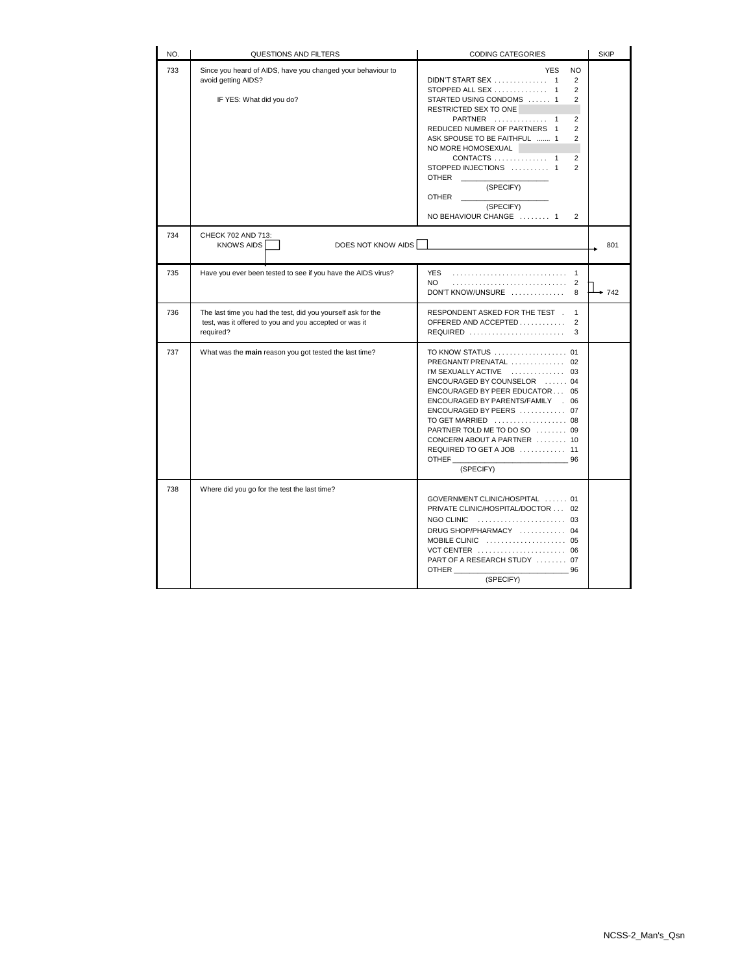| NO. | QUESTIONS AND FILTERS                                                                                                               | <b>CODING CATEGORIES</b>                                                                                                                                                                                                                                                                                                                                                                                                                           | <b>SKIP</b> |
|-----|-------------------------------------------------------------------------------------------------------------------------------------|----------------------------------------------------------------------------------------------------------------------------------------------------------------------------------------------------------------------------------------------------------------------------------------------------------------------------------------------------------------------------------------------------------------------------------------------------|-------------|
| 733 | Since you heard of AIDS, have you changed your behaviour to<br>avoid getting AIDS?<br>IF YES: What did you do?                      | <b>YES</b><br>NO<br>DIDN'T START SEX  1<br>$\overline{2}$<br>STOPPED ALL SEX  1<br>$\overline{2}$<br>STARTED USING CONDOMS  1<br>2<br>RESTRICTED SEX TO ONE<br>PARTNER  1<br>2<br>REDUCED NUMBER OF PARTNERS 1<br>$\overline{2}$<br>ASK SPOUSE TO BE FAITHFUL  1<br>$\overline{2}$<br>NO MORE HOMOSEXUAL<br>CONTACTS  1<br>2<br>STOPPED INJECTIONS  1<br>$\overline{2}$<br>OTHER<br>(SPECIFY)<br>OTHER<br>(SPECIFY)<br>NO BEHAVIOUR CHANGE  1<br>2 |             |
| 734 | CHECK 702 AND 713:<br>DOES NOT KNOW AIDS<br><b>KNOWS AIDS</b>                                                                       |                                                                                                                                                                                                                                                                                                                                                                                                                                                    | 801         |
| 735 | Have you ever been tested to see if you have the AIDS virus?                                                                        | <b>YES</b><br>$\mathbf{1}$<br>NO<br>2<br>DON'T KNOW/UNSURE<br>8                                                                                                                                                                                                                                                                                                                                                                                    | $+ 742$     |
| 736 | The last time you had the test, did you yourself ask for the<br>test, was it offered to you and you accepted or was it<br>required? | RESPONDENT ASKED FOR THE TEST.<br>$\mathbf{1}$<br>OFFERED AND ACCEPTED<br>$\overline{2}$<br>REQUIRED<br>3                                                                                                                                                                                                                                                                                                                                          |             |
| 737 | What was the main reason you got tested the last time?                                                                              | TO KNOW STATUS  01<br>PREGNANT/ PRENATAL  02<br>I'M SEXUALLY ACTIVE  03<br>ENCOURAGED BY COUNSELOR  04<br>ENCOURAGED BY PEER EDUCATOR 05<br>ENCOURAGED BY PARENTS/FAMILY . 06<br>ENCOURAGED BY PEERS  07<br>TO GET MARRIED  08<br>PARTNER TOLD ME TO DO SO  09<br>CONCERN ABOUT A PARTNER  10<br>REQUIRED TO GET A JOB  11<br>OTHER<br>96<br>(SPECIFY)                                                                                             |             |
| 738 | Where did you go for the test the last time?                                                                                        | GOVERNMENT CLINIC/HOSPITAL  01<br>PRIVATE CLINIC/HOSPITAL/DOCTOR  02<br>NGO CLINIC  03<br>DRUG SHOP/PHARMACY  04<br>MOBILE CLINIC  05<br>VCT CENTER  06<br>PART OF A RESEARCH STUDY  07<br>OTHER<br>- 96<br>(SPECIFY)                                                                                                                                                                                                                              |             |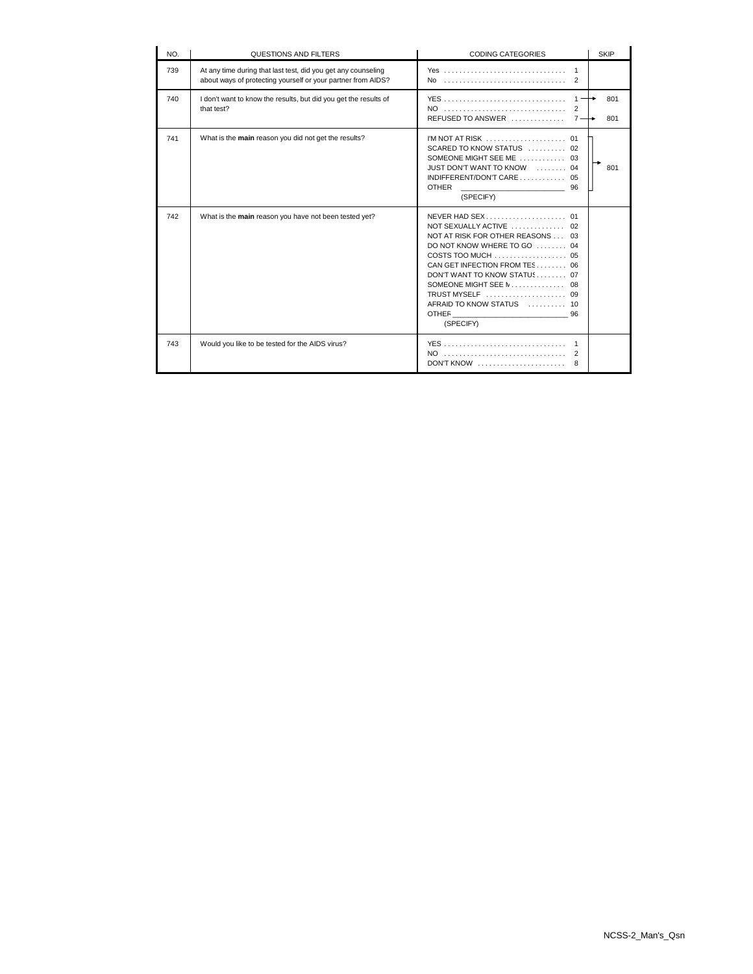| NO. | QUESTIONS AND FILTERS                                                                                                         | <b>CODING CATEGORIES</b>                                                                                                                                                                                                                                                | <b>SKIP</b> |
|-----|-------------------------------------------------------------------------------------------------------------------------------|-------------------------------------------------------------------------------------------------------------------------------------------------------------------------------------------------------------------------------------------------------------------------|-------------|
| 739 | At any time during that last test, did you get any counseling<br>about ways of protecting yourself or your partner from AIDS? | No<br>2                                                                                                                                                                                                                                                                 |             |
| 740 | I don't want to know the results, but did you get the results of<br>that test?                                                | $1 -$<br>NO<br>2<br>REFUSED TO ANSWER<br>$7 -$                                                                                                                                                                                                                          | 801<br>801  |
| 741 | What is the main reason you did not get the results?                                                                          | SCARED TO KNOW STATUS  02<br>SOMEONE MIGHT SEE ME  03<br>JUST DON'T WANT TO KNOW  04<br>INDIFFERENT/DON'T CARE 05<br><b>OTHER</b><br>96<br>(SPECIFY)                                                                                                                    | 801         |
| 742 | What is the main reason you have not been tested yet?                                                                         | NOT SEXUALLY ACTIVE  02<br>NOT AT RISK FOR OTHER REASONS 03<br>DO NOT KNOW WHERE TO GO  04<br>COSTS TOO MUCH $\ldots$ , , , , , 05<br>CAN GET INFECTION FROM TES 06<br>DON'T WANT TO KNOW STATUS 07<br>TRUST MYSELF  09<br>AFRAID TO KNOW STATUS  10<br>96<br>(SPECIFY) |             |
| 743 | Would you like to be tested for the AIDS virus?                                                                               | $\mathbf{1}$<br>NO<br>2<br>$DONT$ KNOW $\ldots \ldots \ldots \ldots \ldots \ldots$<br>8                                                                                                                                                                                 |             |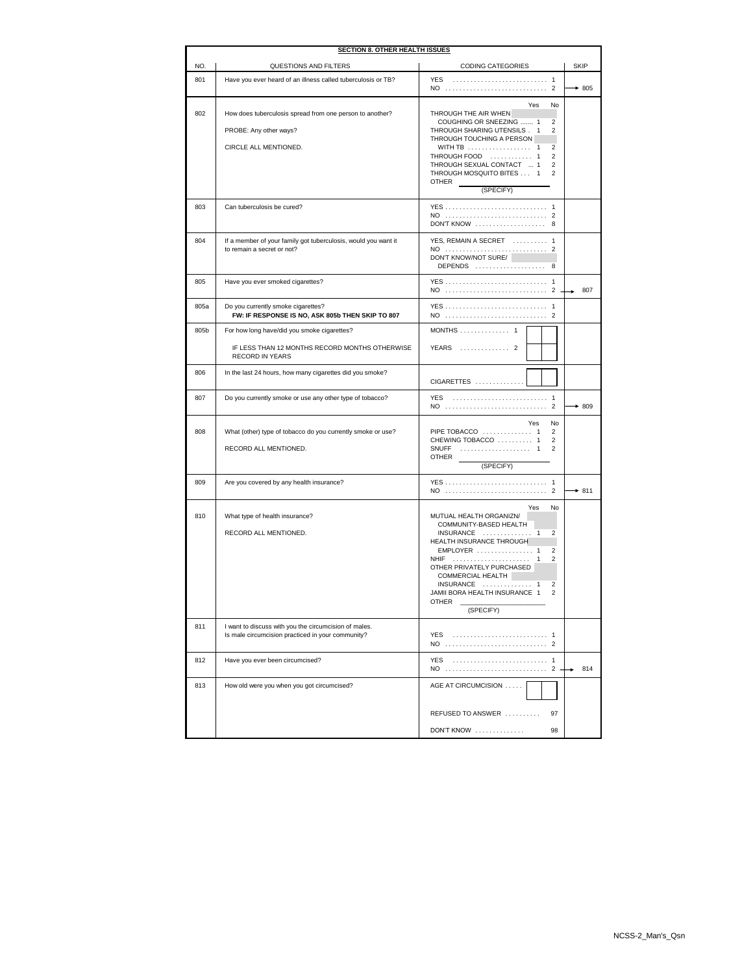| <b>SECTION 8. OTHER HEALTH ISSUES</b> |                                                                                                                         |                                                                                                                                                                                                                                                                                                                  |             |
|---------------------------------------|-------------------------------------------------------------------------------------------------------------------------|------------------------------------------------------------------------------------------------------------------------------------------------------------------------------------------------------------------------------------------------------------------------------------------------------------------|-------------|
| NO.                                   | QUESTIONS AND FILTERS                                                                                                   | <b>CODING CATEGORIES</b>                                                                                                                                                                                                                                                                                         | <b>SKIP</b> |
| 801                                   | Have you ever heard of an illness called tuberculosis or TB?                                                            | <b>YES</b><br>NO<br>$\overline{2}$                                                                                                                                                                                                                                                                               | $+805$      |
| 802                                   | How does tuberculosis spread from one person to another?<br>PROBE: Any other ways?<br>CIRCLE ALL MENTIONED.             | Yes<br>No<br>THROUGH THE AIR WHEN<br>2<br>COUGHING OR SNEEZING  1<br>THROUGH SHARING UTENSILS . 1<br>2<br>THROUGH TOUCHING A PERSON<br>2<br>THROUGH FOOD  1<br>$\overline{2}$<br>THROUGH SEXUAL CONTACT  1<br>2<br>THROUGH MOSQUITO BITES 1<br>$\mathfrak{p}$<br><b>OTHER</b><br>(SPECIFY)                       |             |
| 803                                   | Can tuberculosis be cured?                                                                                              | $\mathbf{1}$<br>DON'T KNOW  8                                                                                                                                                                                                                                                                                    |             |
| 804                                   | If a member of your family got tuberculosis, would you want it<br>to remain a secret or not?                            | YES, REMAIN A SECRET  1<br>DON'T KNOW/NOT SURE/<br>DEPENDS<br>8                                                                                                                                                                                                                                                  |             |
| 805                                   | Have you ever smoked cigarettes?                                                                                        | NO  2                                                                                                                                                                                                                                                                                                            | 807         |
| 805a                                  | Do you currently smoke cigarettes?<br>FW: IF RESPONSE IS NO, ASK 805b THEN SKIP TO 807                                  | $\mathbf{1}$                                                                                                                                                                                                                                                                                                     |             |
| 805b                                  | For how long have/did you smoke cigarettes?<br>IF LESS THAN 12 MONTHS RECORD MONTHS OTHERWISE<br><b>RECORD IN YEARS</b> | MONTHS  1<br>YEARS  2                                                                                                                                                                                                                                                                                            |             |
| 806                                   | In the last 24 hours, how many cigarettes did you smoke?                                                                | CIGARETTES                                                                                                                                                                                                                                                                                                       |             |
| 807                                   | Do you currently smoke or use any other type of tobacco?                                                                | <b>YES</b>                                                                                                                                                                                                                                                                                                       | $*809$      |
| 808                                   | What (other) type of tobacco do you currently smoke or use?<br>RECORD ALL MENTIONED.                                    | Yes<br>No<br>PIPE TOBACCO  1<br>$\overline{2}$<br>CHEWING TOBACCO  1<br>$\overline{2}$<br>SNUFF<br>$\mathfrak{p}$<br>OTHER<br>(SPECIFY)                                                                                                                                                                          |             |
| 809                                   | Are you covered by any health insurance?                                                                                | NO  2                                                                                                                                                                                                                                                                                                            | $* 811$     |
| 810                                   | What type of health insurance?<br>RECORD ALL MENTIONED.                                                                 | Yes<br>No<br>MUTUAL HEALTH ORGANIZN/<br>COMMUNITY-BASED HEALTH<br>$INSURANCE$ 1<br>2<br>HEALTH INSURANCE THROUGH<br>EMPLOYER  1<br>2<br><b>NHIF</b><br>2<br>OTHER PRIVATELY PURCHASED<br>COMMERCIAL HEALTH<br>$INSURANCE$ 1<br>2<br>JAMII BORA HEALTH INSURANCE 1<br>$\overline{2}$<br><b>OTHER</b><br>(SPECIFY) |             |
| 811                                   | I want to discuss with you the circumcision of males.<br>Is male circumcision practiced in your community?              | YES                                                                                                                                                                                                                                                                                                              |             |
| 812                                   | Have you ever been circumcised?                                                                                         | $\overline{1}$<br>YES                                                                                                                                                                                                                                                                                            | 814         |
| 813                                   | How old were you when you got circumcised?                                                                              | AGE AT CIRCUMCISION<br>REFUSED TO ANSWER<br>97                                                                                                                                                                                                                                                                   |             |
|                                       |                                                                                                                         | DON'T KNOW<br>98                                                                                                                                                                                                                                                                                                 |             |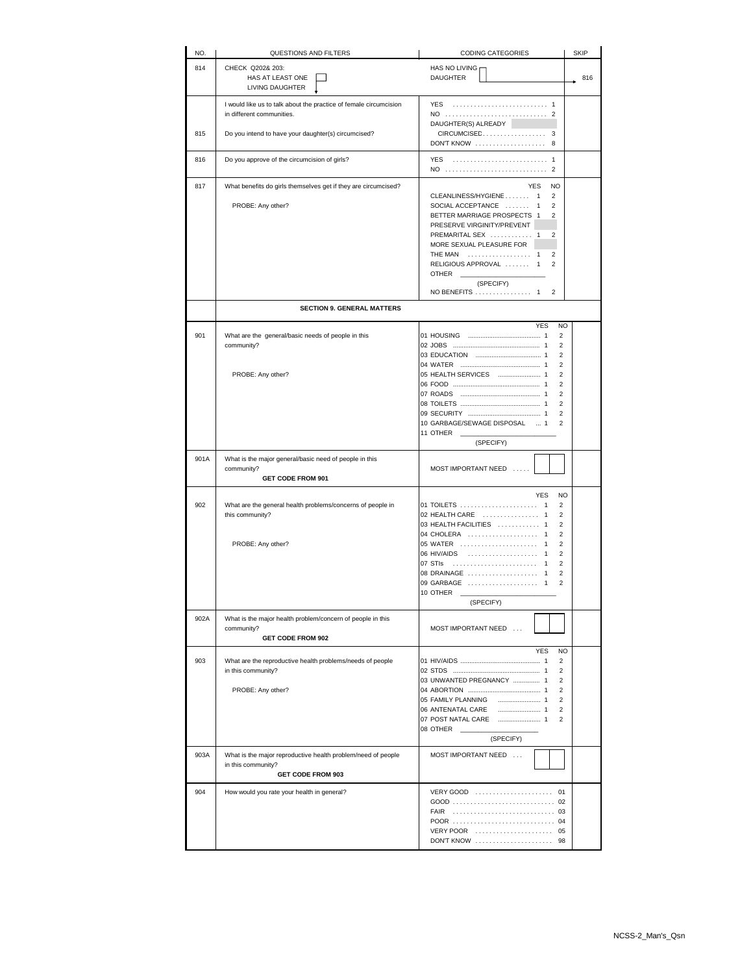| NO.  | QUESTIONS AND FILTERS                                                                                          | <b>CODING CATEGORIES</b>                                                                                                                                                                                                                                                                                                                                                                                                                                  | SKIP |
|------|----------------------------------------------------------------------------------------------------------------|-----------------------------------------------------------------------------------------------------------------------------------------------------------------------------------------------------------------------------------------------------------------------------------------------------------------------------------------------------------------------------------------------------------------------------------------------------------|------|
| 814  | CHECK Q202& 203:<br>HAS AT LEAST ONE<br>LIVING DAUGHTER                                                        | HAS NO LIVING<br><b>DAUGHTER</b>                                                                                                                                                                                                                                                                                                                                                                                                                          | 816  |
|      | I would like us to talk about the practice of female circumcision<br>in different communities.                 | <b>YES</b>                                                                                                                                                                                                                                                                                                                                                                                                                                                |      |
| 815  | Do you intend to have your daughter(s) circumcised?                                                            | DAUGHTER(S) ALREADY<br>DON'T KNOW  8                                                                                                                                                                                                                                                                                                                                                                                                                      |      |
| 816  | Do you approve of the circumcision of girls?                                                                   | YES<br>NO<br>2                                                                                                                                                                                                                                                                                                                                                                                                                                            |      |
| 817  | What benefits do girls themselves get if they are circumcised?                                                 | <b>NO</b><br>YES                                                                                                                                                                                                                                                                                                                                                                                                                                          |      |
|      | PROBE: Any other?                                                                                              | CLEANLINESS/HYGIENE<br>$\overline{2}$<br>$\overline{1}$<br>SOCIAL ACCEPTANCE<br>$\overline{2}$<br>$\mathbf{1}$<br>BETTER MARRIAGE PROSPECTS 1<br>$\overline{2}$<br>PRESERVE VIRGINITY/PREVENT<br>PREMARITAL SEX  1<br>$\mathfrak{p}$<br>MORE SEXUAL PLEASURE FOR<br><b>THE MAN</b><br>2<br>$\mathbf{1}$<br>RELIGIOUS APPROVAL<br>$\overline{2}$<br>-1<br><b>OTHER</b><br>(SPECIFY)                                                                        |      |
|      |                                                                                                                | $\overline{\mathbf{c}}$<br>NO BENEFITS  1                                                                                                                                                                                                                                                                                                                                                                                                                 |      |
|      | <b>SECTION 9. GENERAL MATTERS</b>                                                                              |                                                                                                                                                                                                                                                                                                                                                                                                                                                           |      |
| 901  | What are the general/basic needs of people in this<br>community?<br>PROBE: Any other?                          | <b>YES</b><br><b>NO</b><br>2<br>$\mathfrak{p}$<br>$\mathfrak{p}$<br>$\overline{2}$<br>$\overline{\mathbf{c}}$<br>$\mathfrak{p}$<br>$\overline{2}$<br>$\overline{2}$<br>$\overline{2}$<br>10 GARBAGE/SEWAGE DISPOSAL  1<br>$\overline{2}$                                                                                                                                                                                                                  |      |
|      |                                                                                                                | 11 OTHER<br>(SPECIFY)                                                                                                                                                                                                                                                                                                                                                                                                                                     |      |
| 901A | What is the major general/basic need of people in this<br>community?<br><b>GET CODE FROM 901</b>               | MOST IMPORTANT NEED<br>$\ldots$ .                                                                                                                                                                                                                                                                                                                                                                                                                         |      |
| 902  | What are the general health problems/concerns of people in<br>this community?<br>PROBE: Any other?             | N <sub>O</sub><br><b>YES</b><br>01 TOILETS  1<br>$\overline{2}$<br>02 HEALTH CARE  1<br>$\overline{\mathbf{c}}$<br>03 HEALTH FACILITIES  1<br>$\overline{2}$<br>04 CHOLERA  1<br>$\overline{2}$<br>05 WATER<br>$\overline{\mathbf{c}}$<br>$\mathbf{1}$<br>06 HIV/AIDS<br>$\overline{2}$<br>-1<br>07 STIs<br>$\overline{2}$<br>$\overline{1}$<br>08 DRAINAGE<br>$\overline{\mathbf{c}}$<br>1<br>09 GARBAGE<br>$\overline{2}$<br>1<br>10 OTHER<br>(SPECIFY) |      |
| 902A | What is the major health problem/concern of people in this<br>community?<br><b>GET CODE FROM 902</b>           | MOST IMPORTANT NEED                                                                                                                                                                                                                                                                                                                                                                                                                                       |      |
| 903  | What are the reproductive health problems/needs of people<br>in this community?<br>PROBE: Any other?           | <b>YES</b><br>NO<br>$\overline{2}$<br>$\overline{2}$<br>03 UNWANTED PREGNANCY  1<br>$\overline{2}$<br>$\overline{2}$<br>05 FAMILY PLANNING<br>$\overline{2}$<br>06 ANTENATAL CARE<br>$\overline{2}$<br>$\mathfrak{p}$<br>08 OTHER<br>(SPECIFY)                                                                                                                                                                                                            |      |
| 903A | What is the major reproductive health problem/need of people<br>in this community?<br><b>GET CODE FROM 903</b> | MOST IMPORTANT NEED                                                                                                                                                                                                                                                                                                                                                                                                                                       |      |
| 904  | How would you rate your health in general?                                                                     | FAIR<br>VERY POOR  05<br><b>DON'T KNOW</b><br>98                                                                                                                                                                                                                                                                                                                                                                                                          |      |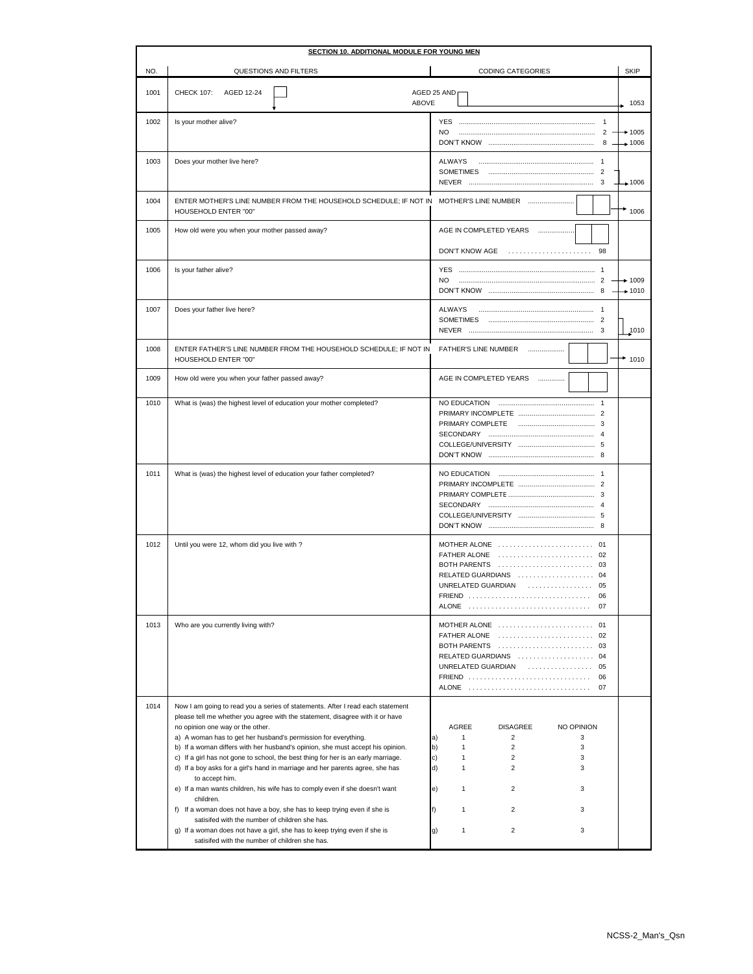| <b>SECTION 10. ADDITIONAL MODULE FOR YOUNG MEN</b> |                                                                                                                                                                                                                                                                                                                                                                                                                                                                                                                                                                                                                                                                                                                                                                                                                                                                                                          |                                                                                                                                                                                                                                                                                                                                |                     |
|----------------------------------------------------|----------------------------------------------------------------------------------------------------------------------------------------------------------------------------------------------------------------------------------------------------------------------------------------------------------------------------------------------------------------------------------------------------------------------------------------------------------------------------------------------------------------------------------------------------------------------------------------------------------------------------------------------------------------------------------------------------------------------------------------------------------------------------------------------------------------------------------------------------------------------------------------------------------|--------------------------------------------------------------------------------------------------------------------------------------------------------------------------------------------------------------------------------------------------------------------------------------------------------------------------------|---------------------|
| NO.                                                | QUESTIONS AND FILTERS                                                                                                                                                                                                                                                                                                                                                                                                                                                                                                                                                                                                                                                                                                                                                                                                                                                                                    | <b>CODING CATEGORIES</b>                                                                                                                                                                                                                                                                                                       | <b>SKIP</b>         |
| 1001                                               | <b>CHECK 107:</b><br>AGED 12-24<br><b>ABOVE</b>                                                                                                                                                                                                                                                                                                                                                                                                                                                                                                                                                                                                                                                                                                                                                                                                                                                          | AGED 25 AND                                                                                                                                                                                                                                                                                                                    | 1053                |
| 1002                                               | Is your mother alive?                                                                                                                                                                                                                                                                                                                                                                                                                                                                                                                                                                                                                                                                                                                                                                                                                                                                                    | <b>YES</b><br>N <sub>O</sub>                                                                                                                                                                                                                                                                                                   | $+1005$             |
| 1003                                               | Does your mother live here?                                                                                                                                                                                                                                                                                                                                                                                                                                                                                                                                                                                                                                                                                                                                                                                                                                                                              | ALWAYS                                                                                                                                                                                                                                                                                                                         | $+1006$             |
| 1004                                               | ENTER MOTHER'S LINE NUMBER FROM THE HOUSEHOLD SCHEDULE; IF NOT IN MOTHER'S LINE NUMBER<br><b>HOUSEHOLD ENTER "00"</b>                                                                                                                                                                                                                                                                                                                                                                                                                                                                                                                                                                                                                                                                                                                                                                                    |                                                                                                                                                                                                                                                                                                                                | 1006                |
| 1005                                               | How old were you when your mother passed away?                                                                                                                                                                                                                                                                                                                                                                                                                                                                                                                                                                                                                                                                                                                                                                                                                                                           | AGE IN COMPLETED YEARS<br>DON'T KNOW AGE<br>98                                                                                                                                                                                                                                                                                 |                     |
| 1006                                               | Is your father alive?                                                                                                                                                                                                                                                                                                                                                                                                                                                                                                                                                                                                                                                                                                                                                                                                                                                                                    | NO.                                                                                                                                                                                                                                                                                                                            | $+ 1009$<br>$+1010$ |
| 1007                                               | Does your father live here?                                                                                                                                                                                                                                                                                                                                                                                                                                                                                                                                                                                                                                                                                                                                                                                                                                                                              | ALWAYS                                                                                                                                                                                                                                                                                                                         | 1010                |
| 1008                                               | ENTER FATHER'S LINE NUMBER FROM THE HOUSEHOLD SCHEDULE; IF NOT IN<br>HOUSEHOLD ENTER "00"                                                                                                                                                                                                                                                                                                                                                                                                                                                                                                                                                                                                                                                                                                                                                                                                                | FATHER'S LINE NUMBER                                                                                                                                                                                                                                                                                                           | $*1010$             |
| 1009                                               | How old were you when your father passed away?                                                                                                                                                                                                                                                                                                                                                                                                                                                                                                                                                                                                                                                                                                                                                                                                                                                           | AGE IN COMPLETED YEARS                                                                                                                                                                                                                                                                                                         |                     |
| 1010                                               | What is (was) the highest level of education your mother completed?                                                                                                                                                                                                                                                                                                                                                                                                                                                                                                                                                                                                                                                                                                                                                                                                                                      | NO EDUCATION                                                                                                                                                                                                                                                                                                                   |                     |
| 1011                                               | What is (was) the highest level of education your father completed?                                                                                                                                                                                                                                                                                                                                                                                                                                                                                                                                                                                                                                                                                                                                                                                                                                      | NO EDUCATION                                                                                                                                                                                                                                                                                                                   |                     |
| 1012                                               | Until you were 12, whom did you live with ?                                                                                                                                                                                                                                                                                                                                                                                                                                                                                                                                                                                                                                                                                                                                                                                                                                                              | MOTHER ALONE  01<br>FATHER ALONE  02<br>RELATED GUARDIANS  04<br>UNRELATED GUARDIAN  05<br><b>FRIEND</b><br>06<br>ALONE  07                                                                                                                                                                                                    |                     |
| 1013                                               | Who are you currently living with?                                                                                                                                                                                                                                                                                                                                                                                                                                                                                                                                                                                                                                                                                                                                                                                                                                                                       | MOTHER ALONE  01<br>FATHER ALONE  02<br>BOTH PARENTS  03<br>RELATED GUARDIANS  04<br>UNRELATED GUARDIAN  05<br>FRIEND  06<br>ALONE  07                                                                                                                                                                                         |                     |
| 1014                                               | Now I am going to read you a series of statements. After I read each statement<br>please tell me whether you agree with the statement, disagree with it or have<br>no opinion one way or the other.<br>a) A woman has to get her husband's permission for everything.<br>b) If a woman differs with her husband's opinion, she must accept his opinion.<br>c) If a girl has not gone to school, the best thing for her is an early marriage.<br>d) If a boy asks for a girl's hand in marriage and her parents agree, she has<br>to accept him.<br>e) If a man wants children, his wife has to comply even if she doesn't want<br>children.<br>f) If a woman does not have a boy, she has to keep trying even if she is<br>satisifed with the number of children she has.<br>g) If a woman does not have a girl, she has to keep trying even if she is<br>satisifed with the number of children she has. | AGREE<br><b>DISAGREE</b><br>NO OPINION<br>$\mathbf{1}$<br>$\overline{2}$<br>a)<br>3<br>$\overline{2}$<br>b)<br>$\mathbf{1}$<br>3<br>c)<br>$\overline{2}$<br>3<br>1<br>d)<br>$\mathbf{1}$<br>$\overline{2}$<br>3<br>$\overline{2}$<br>e)<br>$\mathbf{1}$<br>3<br>f)<br>2<br>1<br>3<br>$\mathbf{1}$<br>$\overline{2}$<br>3<br>g) |                     |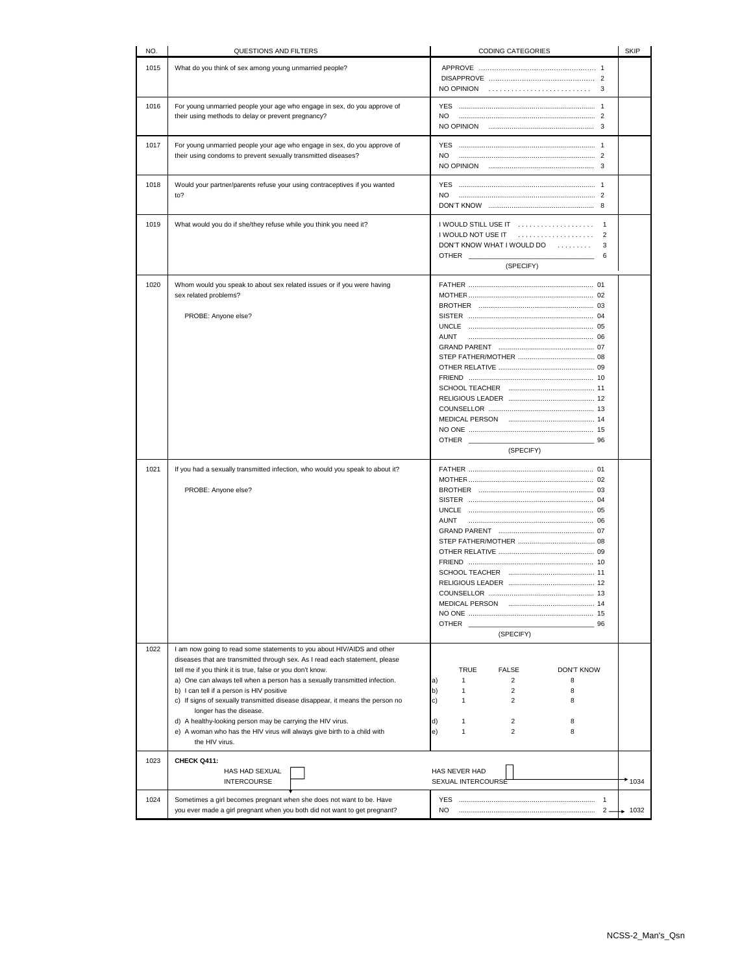| NO.  | QUESTIONS AND FILTERS                                                                                                                                 | <b>CODING CATEGORIES</b>                         | <b>SKIP</b> |
|------|-------------------------------------------------------------------------------------------------------------------------------------------------------|--------------------------------------------------|-------------|
| 1015 | What do you think of sex among young unmarried people?                                                                                                |                                                  |             |
|      |                                                                                                                                                       |                                                  |             |
|      |                                                                                                                                                       |                                                  |             |
| 1016 | For young unmarried people your age who engage in sex, do you approve of                                                                              |                                                  |             |
|      | their using methods to delay or prevent pregnancy?                                                                                                    | NO.                                              |             |
|      |                                                                                                                                                       |                                                  |             |
| 1017 | For young unmarried people your age who engage in sex, do you approve of                                                                              |                                                  |             |
|      | their using condoms to prevent sexually transmitted diseases?                                                                                         | NO.                                              |             |
|      |                                                                                                                                                       |                                                  |             |
| 1018 | Would your partner/parents refuse your using contraceptives if you wanted                                                                             |                                                  |             |
|      | to?                                                                                                                                                   | NO.                                              |             |
|      |                                                                                                                                                       |                                                  |             |
| 1019 | What would you do if she/they refuse while you think you need it?                                                                                     |                                                  |             |
|      |                                                                                                                                                       | I WOULD NOT USE IT<br>$\overline{2}$             |             |
|      |                                                                                                                                                       | DON'T KNOW WHAT I WOULD DO<br>3                  |             |
|      |                                                                                                                                                       | OTHER<br>6                                       |             |
|      |                                                                                                                                                       | (SPECIFY)                                        |             |
| 1020 | Whom would you speak to about sex related issues or if you were having                                                                                |                                                  |             |
|      | sex related problems?                                                                                                                                 |                                                  |             |
|      | PROBE: Anyone else?                                                                                                                                   |                                                  |             |
|      |                                                                                                                                                       |                                                  |             |
|      |                                                                                                                                                       | <b>AUNT</b>                                      |             |
|      |                                                                                                                                                       |                                                  |             |
|      |                                                                                                                                                       |                                                  |             |
|      |                                                                                                                                                       |                                                  |             |
|      |                                                                                                                                                       |                                                  |             |
|      |                                                                                                                                                       |                                                  |             |
|      |                                                                                                                                                       |                                                  |             |
|      |                                                                                                                                                       |                                                  |             |
|      |                                                                                                                                                       | <b>OTHER</b><br>96                               |             |
|      |                                                                                                                                                       | (SPECIFY)                                        |             |
| 1021 |                                                                                                                                                       |                                                  |             |
|      | If you had a sexually transmitted infection, who would you speak to about it?                                                                         |                                                  |             |
|      | PROBE: Anyone else?                                                                                                                                   |                                                  |             |
|      |                                                                                                                                                       |                                                  |             |
|      |                                                                                                                                                       |                                                  |             |
|      |                                                                                                                                                       | <b>AUNT</b>                                      |             |
|      |                                                                                                                                                       |                                                  |             |
|      |                                                                                                                                                       |                                                  |             |
|      |                                                                                                                                                       |                                                  |             |
|      |                                                                                                                                                       |                                                  |             |
|      |                                                                                                                                                       |                                                  |             |
|      |                                                                                                                                                       | MEDICAL PERSON                                   |             |
|      |                                                                                                                                                       |                                                  |             |
|      |                                                                                                                                                       | OTHER<br>96<br>(SPECIFY)                         |             |
|      |                                                                                                                                                       |                                                  |             |
| 1022 | I am now going to read some statements to you about HIV/AIDS and other<br>diseases that are transmitted through sex. As I read each statement, please |                                                  |             |
|      | tell me if you think it is true, false or you don't know.                                                                                             | <b>TRUE</b><br><b>FALSE</b><br><b>DON'T KNOW</b> |             |
|      | a) One can always tell when a person has a sexually transmitted infection.                                                                            | $\mathbf{1}$<br>$\overline{2}$<br>8<br>a)        |             |
|      | b) I can tell if a person is HIV positive                                                                                                             | $\overline{2}$<br>8<br>b)<br>$\mathbf{1}$        |             |
|      | c) If signs of sexually transmitted disease disappear, it means the person no<br>longer has the disease.                                              | $\overline{2}$<br>c)<br>1<br>8                   |             |
|      | d) A healthy-looking person may be carrying the HIV virus.                                                                                            | $\overline{2}$<br>8<br>d)<br>1                   |             |
|      | e) A woman who has the HIV virus will always give birth to a child with                                                                               | $\overline{2}$<br>8<br>e)<br>1                   |             |
|      | the HIV virus.                                                                                                                                        |                                                  |             |
| 1023 | CHECK Q411:                                                                                                                                           |                                                  |             |
|      | HAS HAD SEXUAL                                                                                                                                        | HAS NEVER HAD                                    |             |
|      | <b>INTERCOURSE</b>                                                                                                                                    | SEXUAL INTERCOURSE                               | $*$ 1034    |
| 1024 | Sometimes a girl becomes pregnant when she does not want to be. Have                                                                                  | $\overline{1}$                                   |             |
|      | you ever made a girl pregnant when you both did not want to get pregnant?                                                                             | NO.<br>$2 -$                                     | 1032        |
|      |                                                                                                                                                       |                                                  |             |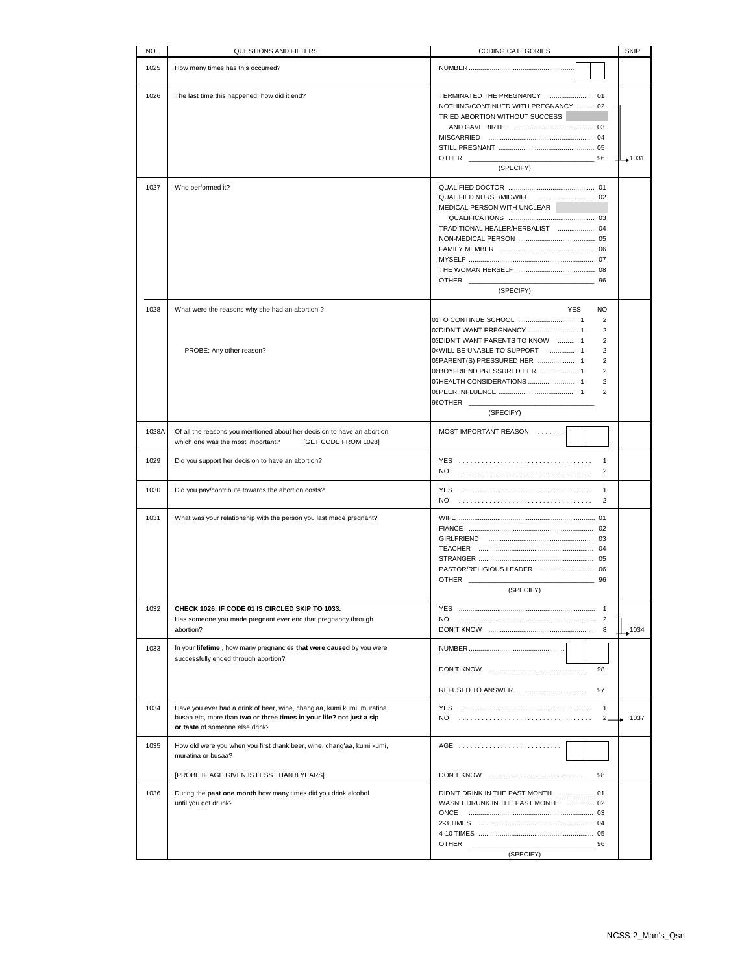| NO.   | QUESTIONS AND FILTERS                                                                                                                                                              | CODING CATEGORIES                                                                                                                                                                                                                                                                                                             | <b>SKIP</b> |
|-------|------------------------------------------------------------------------------------------------------------------------------------------------------------------------------------|-------------------------------------------------------------------------------------------------------------------------------------------------------------------------------------------------------------------------------------------------------------------------------------------------------------------------------|-------------|
| 1025  | How many times has this occurred?                                                                                                                                                  |                                                                                                                                                                                                                                                                                                                               |             |
| 1026  | The last time this happened, how did it end?                                                                                                                                       | NOTHING/CONTINUED WITH PREGNANCY  02<br>TRIED ABORTION WITHOUT SUCCESS<br>AND GAVE BIRTH<br><b>OTHER</b><br>96<br>(SPECIFY)                                                                                                                                                                                                   | $+1031$     |
| 1027  | Who performed it?                                                                                                                                                                  | MEDICAL PERSON WITH UNCLEAR<br>TRADITIONAL HEALER/HERBALIST  04                                                                                                                                                                                                                                                               |             |
|       |                                                                                                                                                                                    | <b>OTHER</b><br>96<br>(SPECIFY)                                                                                                                                                                                                                                                                                               |             |
| 1028  | What were the reasons why she had an abortion?<br>PROBE: Any other reason?                                                                                                         | <b>YES</b><br><b>NO</b><br>$\overline{2}$<br>$\overline{2}$<br>0. DIDN'T WANT PARENTS TO KNOW  1<br>$\overline{2}$<br>04 WILL BE UNABLE TO SUPPORT  1<br>2<br>0! PARENT(S) PRESSURED HER  1<br>$\overline{2}$<br>06 BOYFRIEND PRESSURED HER  1<br>$\overline{2}$<br>$\overline{2}$<br>$\overline{2}$<br>96 OTHER<br>(SPECIFY) |             |
| 1028A | Of all the reasons you mentioned about her decision to have an abortion,<br>which one was the most important?<br>[GET CODE FROM 1028]                                              | MOST IMPORTANT REASON                                                                                                                                                                                                                                                                                                         |             |
| 1029  | Did you support her decision to have an abortion?                                                                                                                                  | $\mathbf{1}$<br>$\overline{2}$                                                                                                                                                                                                                                                                                                |             |
| 1030  | Did you pay/contribute towards the abortion costs?                                                                                                                                 | $\mathbf{1}$<br>NO.<br>$\overline{2}$                                                                                                                                                                                                                                                                                         |             |
| 1031  | What was your relationship with the person you last made pregnant?                                                                                                                 | <b>OTHER</b><br>96<br>(SPECIFY)                                                                                                                                                                                                                                                                                               |             |
| 1032  | CHECK 1026: IF CODE 01 IS CIRCLED SKIP TO 1033.<br>Has someone you made pregnant ever end that pregnancy through<br>abortion?                                                      | NO.                                                                                                                                                                                                                                                                                                                           | 1034        |
| 1033  | In your lifetime, how many pregnancies that were caused by you were<br>successfully ended through abortion?                                                                        | 98<br>97                                                                                                                                                                                                                                                                                                                      |             |
| 1034  | Have you ever had a drink of beer, wine, chang'aa, kumi kumi, muratina,<br>busaa etc, more than two or three times in your life? not just a sip<br>or taste of someone else drink? | $\mathbf{1}$<br>NO.<br>$2 -$                                                                                                                                                                                                                                                                                                  | 1037        |
| 1035  | How old were you when you first drank beer, wine, chang'aa, kumi kumi,<br>muratina or busaa?<br>[PROBE IF AGE GIVEN IS LESS THAN 8 YEARS]                                          | DON'T KNOW<br>98                                                                                                                                                                                                                                                                                                              |             |
| 1036  | During the past one month how many times did you drink alcohol<br>until you got drunk?                                                                                             | DIDN'T DRINK IN THE PAST MONTH  01<br>WASN'T DRUNK IN THE PAST MONTH  02<br><b>OTHER</b><br>96<br>(SPECIFY)                                                                                                                                                                                                                   |             |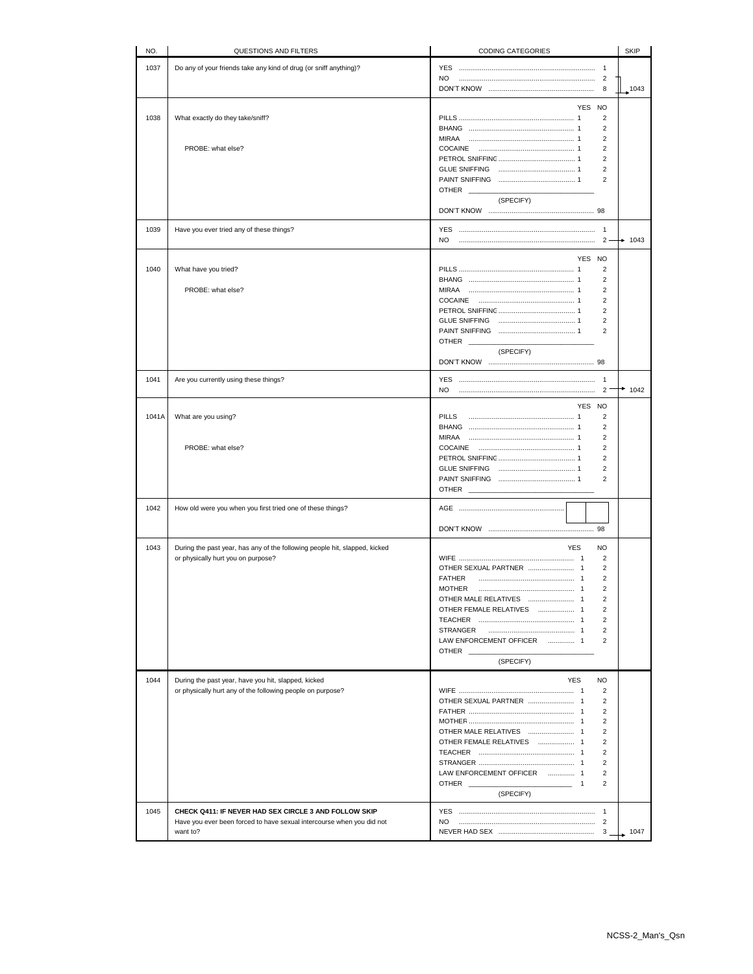| NO.   | QUESTIONS AND FILTERS                                                      | CODING CATEGORIES                                   | <b>SKIP</b> |
|-------|----------------------------------------------------------------------------|-----------------------------------------------------|-------------|
| 1037  | Do any of your friends take any kind of drug (or sniff anything)?          | <b>YES</b><br>$\mathbf{1}$                          |             |
|       |                                                                            | NO                                                  |             |
|       |                                                                            | 8                                                   | 1043        |
|       |                                                                            | YES NO                                              |             |
| 1038  | What exactly do they take/sniff?                                           | 2                                                   |             |
|       |                                                                            | 2                                                   |             |
|       |                                                                            | $\overline{2}$                                      |             |
|       | PROBE: what else?                                                          | $\overline{2}$                                      |             |
|       |                                                                            | $\overline{2}$<br>$\overline{2}$                    |             |
|       |                                                                            | 2                                                   |             |
|       |                                                                            | <b>OTHER</b>                                        |             |
|       |                                                                            | (SPECIFY)                                           |             |
|       |                                                                            |                                                     |             |
| 1039  | Have you ever tried any of these things?                                   | <b>YES</b>                                          |             |
|       |                                                                            | NO.<br>$2 \cdot$                                    | $+ 1043$    |
|       |                                                                            |                                                     |             |
| 1040  | What have you tried?                                                       | YES NO<br>$\overline{2}$                            |             |
|       |                                                                            | $\overline{2}$                                      |             |
|       | PROBE: what else?                                                          | $\overline{2}$                                      |             |
|       |                                                                            | $\overline{2}$                                      |             |
|       |                                                                            | $\overline{2}$                                      |             |
|       |                                                                            | $\overline{2}$<br>$\overline{2}$                    |             |
|       |                                                                            | <b>OTHER</b>                                        |             |
|       |                                                                            | (SPECIFY)                                           |             |
|       |                                                                            |                                                     |             |
| 1041  | Are you currently using these things?                                      |                                                     |             |
|       |                                                                            | NO.<br>$\overline{2}$                               | 1042        |
|       |                                                                            | YES NO                                              |             |
| 1041A | What are you using?                                                        | PILLS<br>$\overline{2}$                             |             |
|       |                                                                            | $\overline{2}$                                      |             |
|       |                                                                            | MIRAA<br>$\overline{2}$                             |             |
|       | PROBE: what else?                                                          | $\overline{2}$                                      |             |
|       |                                                                            | $\overline{2}$                                      |             |
|       |                                                                            | $\overline{2}$<br>$\overline{2}$                    |             |
|       |                                                                            | <b>OTHER</b>                                        |             |
|       |                                                                            |                                                     |             |
| 1042  | How old were you when you first tried one of these things?                 |                                                     |             |
|       |                                                                            |                                                     |             |
|       |                                                                            |                                                     |             |
| 1043  | During the past year, has any of the following people hit, slapped, kicked | <b>NO</b><br><b>YES</b><br>$\overline{2}$           |             |
|       | or physically hurt you on purpose?                                         | $\overline{2}$                                      |             |
|       |                                                                            | $\overline{2}$<br><b>FATHER</b>                     |             |
|       |                                                                            | $\overline{2}$<br><b>MOTHER</b>                     |             |
|       |                                                                            | $\overline{2}$                                      |             |
|       |                                                                            | $\overline{2}$<br>OTHER FEMALE RELATIVES  1         |             |
|       |                                                                            | $\overline{2}$<br><b>STRANGER</b><br>$\overline{2}$ |             |
|       |                                                                            | LAW ENFORCEMENT OFFICER  1<br>$\overline{2}$        |             |
|       |                                                                            | OTHER                                               |             |
|       |                                                                            | (SPECIFY)                                           |             |
| 1044  | During the past year, have you hit, slapped, kicked                        | <b>YES</b><br>NO                                    |             |
|       | or physically hurt any of the following people on purpose?                 | $\overline{2}$                                      |             |
|       |                                                                            | $\overline{2}$                                      |             |
|       |                                                                            | 2                                                   |             |
|       |                                                                            | $\overline{2}$                                      |             |
|       |                                                                            | $\overline{2}$<br>$\overline{2}$                    |             |
|       |                                                                            | $\overline{2}$                                      |             |
|       |                                                                            | $\overline{2}$                                      |             |
|       |                                                                            | LAW ENFORCEMENT OFFICER  1<br>$\overline{2}$        |             |
|       |                                                                            | OTHER<br>$\overline{2}$<br>$\sim$ $\sim$ 1          |             |
|       |                                                                            | (SPECIFY)                                           |             |
| 1045  | CHECK Q411: IF NEVER HAD SEX CIRCLE 3 AND FOLLOW SKIP                      |                                                     |             |
|       | Have you ever been forced to have sexual intercourse when you did not      | NO.                                                 |             |
|       | want to?                                                                   | $3_{-}$                                             | 1047        |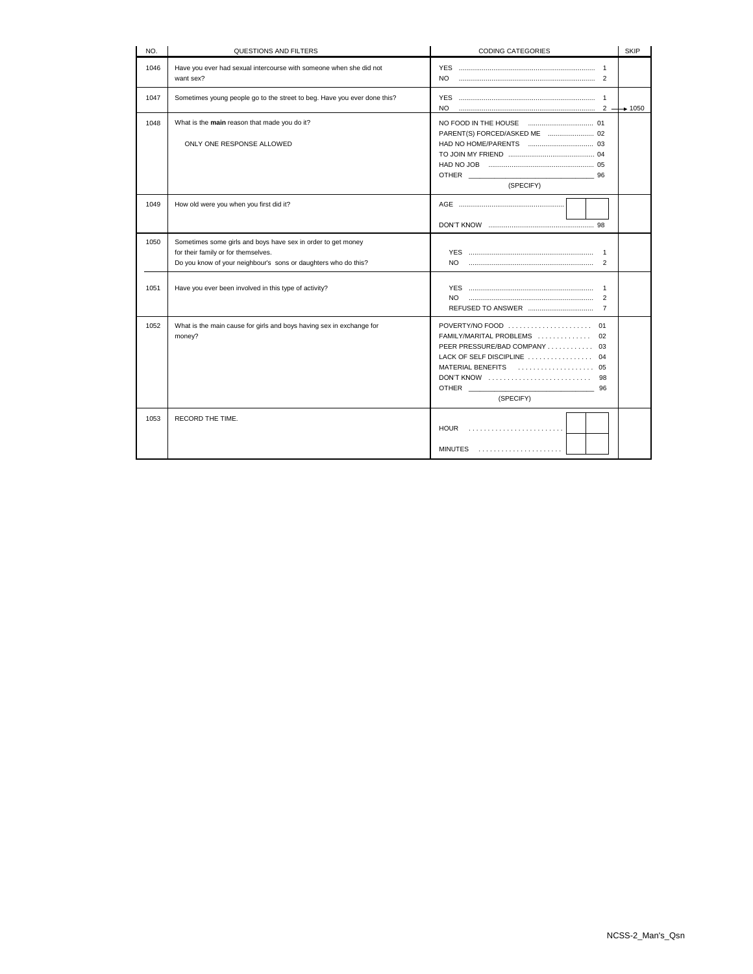| NO.  | QUESTIONS AND FILTERS                                                                                                                                                 | <b>CODING CATEGORIES</b>                                                                                                                                                                                          | <b>SKIP</b>          |
|------|-----------------------------------------------------------------------------------------------------------------------------------------------------------------------|-------------------------------------------------------------------------------------------------------------------------------------------------------------------------------------------------------------------|----------------------|
| 1046 | Have you ever had sexual intercourse with someone when she did not<br>want sex?                                                                                       | NO.                                                                                                                                                                                                               |                      |
| 1047 | Sometimes young people go to the street to beg. Have you ever done this?                                                                                              | NO.                                                                                                                                                                                                               | $2 \rightarrow 1050$ |
| 1048 | What is the main reason that made you do it?<br>ONLY ONE RESPONSE ALLOWED                                                                                             | 96<br>(SPECIFY)                                                                                                                                                                                                   |                      |
| 1049 | How old were you when you first did it?                                                                                                                               |                                                                                                                                                                                                                   |                      |
| 1050 | Sometimes some girls and boys have sex in order to get money<br>for their family or for themselves.<br>Do you know of your neighbour's sons or daughters who do this? | $\mathbf{1}$<br>$\overline{2}$                                                                                                                                                                                    |                      |
| 1051 | Have you ever been involved in this type of activity?                                                                                                                 | $\mathbf{1}$<br>$\overline{2}$<br>$\overline{7}$                                                                                                                                                                  |                      |
| 1052 | What is the main cause for girls and boys having sex in exchange for<br>money?                                                                                        | FAMILY/MARITAL PROBLEMS  02<br>PEER PRESSURE/BAD COMPANY 03<br>LACK OF SELF DISCIPLINE  04<br>$DON'T$ KNOW $\ldots \ldots \ldots \ldots \ldots \ldots \ldots$<br>98<br>OTHER <b>Example 20</b><br>96<br>(SPECIFY) |                      |
| 1053 | RECORD THE TIME.                                                                                                                                                      | $HOUR$<br>$MINUTES$                                                                                                                                                                                               |                      |